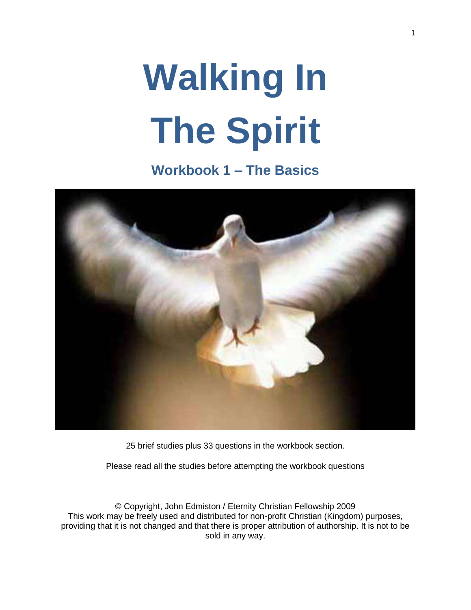# **Walking In The Spirit**

**Workbook 1 – The Basics**



25 brief studies plus 33 questions in the workbook section.

Please read all the studies before attempting the workbook questions

© Copyright, John Edmiston / Eternity Christian Fellowship 2009 This work may be freely used and distributed for non-profit Christian (Kingdom) purposes, providing that it is not changed and that there is proper attribution of authorship. It is not to be sold in any way.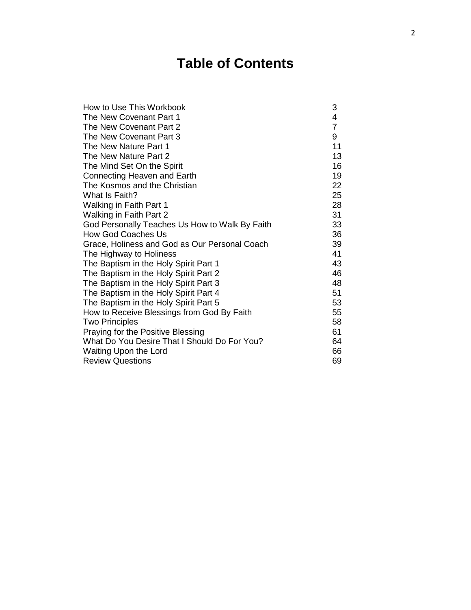# **Table of Contents**

| How to Use This Workbook                       | 3              |
|------------------------------------------------|----------------|
| The New Covenant Part 1                        | 4              |
| The New Covenant Part 2                        | $\overline{7}$ |
| The New Covenant Part 3                        | 9              |
| The New Nature Part 1                          | 11             |
| The New Nature Part 2                          | 13             |
| The Mind Set On the Spirit                     | 16             |
| Connecting Heaven and Earth                    | 19             |
| The Kosmos and the Christian                   | 22             |
| What Is Faith?                                 | 25             |
| Walking in Faith Part 1                        | 28             |
| Walking in Faith Part 2                        | 31             |
| God Personally Teaches Us How to Walk By Faith | 33             |
| <b>How God Coaches Us</b>                      | 36             |
| Grace, Holiness and God as Our Personal Coach  | 39             |
| The Highway to Holiness                        | 41             |
| The Baptism in the Holy Spirit Part 1          | 43             |
| The Baptism in the Holy Spirit Part 2          | 46             |
| The Baptism in the Holy Spirit Part 3          | 48             |
| The Baptism in the Holy Spirit Part 4          | 51             |
| The Baptism in the Holy Spirit Part 5          | 53             |
| How to Receive Blessings from God By Faith     | 55             |
| <b>Two Principles</b>                          | 58             |
| Praying for the Positive Blessing              | 61             |
| What Do You Desire That I Should Do For You?   | 64             |
| Waiting Upon the Lord                          | 66             |
| <b>Review Questions</b>                        | 69             |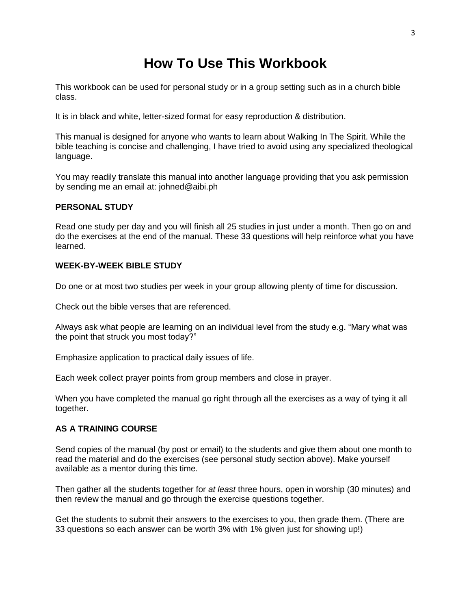## **How To Use This Workbook**

This workbook can be used for personal study or in a group setting such as in a church bible class.

It is in black and white, letter-sized format for easy reproduction & distribution.

This manual is designed for anyone who wants to learn about Walking In The Spirit. While the bible teaching is concise and challenging, I have tried to avoid using any specialized theological language.

You may readily translate this manual into another language providing that you ask permission by sending me an email at: johned@aibi.ph

#### **PERSONAL STUDY**

Read one study per day and you will finish all 25 studies in just under a month. Then go on and do the exercises at the end of the manual. These 33 questions will help reinforce what you have learned.

#### **WEEK-BY-WEEK BIBLE STUDY**

Do one or at most two studies per week in your group allowing plenty of time for discussion.

Check out the bible verses that are referenced.

Always ask what people are learning on an individual level from the study e.g. "Mary what was the point that struck you most today?"

Emphasize application to practical daily issues of life.

Each week collect prayer points from group members and close in prayer.

When you have completed the manual go right through all the exercises as a way of tying it all together.

#### **AS A TRAINING COURSE**

Send copies of the manual (by post or email) to the students and give them about one month to read the material and do the exercises (see personal study section above). Make yourself available as a mentor during this time.

Then gather all the students together for *at least* three hours, open in worship (30 minutes) and then review the manual and go through the exercise questions together.

Get the students to submit their answers to the exercises to you, then grade them. (There are 33 questions so each answer can be worth 3% with 1% given just for showing up!)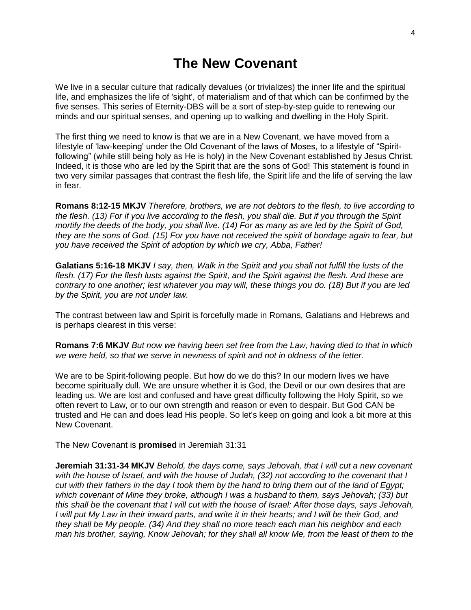#### **The New Covenant**

We live in a secular culture that radically devalues (or trivializes) the inner life and the spiritual life, and emphasizes the life of 'sight', of materialism and of that which can be confirmed by the five senses. This series of Eternity-DBS will be a sort of step-by-step guide to renewing our minds and our spiritual senses, and opening up to walking and dwelling in the Holy Spirit.

The first thing we need to know is that we are in a New Covenant, we have moved from a lifestyle of 'law-keeping' under the Old Covenant of the laws of Moses, to a lifestyle of "Spiritfollowing" (while still being holy as He is holy) in the New Covenant established by Jesus Christ. Indeed, it is those who are led by the Spirit that are the sons of God! This statement is found in two very similar passages that contrast the flesh life, the Spirit life and the life of serving the law in fear.

**Romans 8:12-15 MKJV** *Therefore, brothers, we are not debtors to the flesh, to live according to the flesh. (13) For if you live according to the flesh, you shall die. But if you through the Spirit mortify the deeds of the body, you shall live. (14) For as many as are led by the Spirit of God, they are the sons of God. (15) For you have not received the spirit of bondage again to fear, but you have received the Spirit of adoption by which we cry, Abba, Father!*

**Galatians 5:16-18 MKJV** *I say, then, Walk in the Spirit and you shall not fulfill the lusts of the flesh. (17) For the flesh lusts against the Spirit, and the Spirit against the flesh. And these are contrary to one another; lest whatever you may will, these things you do. (18) But if you are led by the Spirit, you are not under law.*

The contrast between law and Spirit is forcefully made in Romans, Galatians and Hebrews and is perhaps clearest in this verse:

**Romans 7:6 MKJV** *But now we having been set free from the Law, having died to that in which we were held, so that we serve in newness of spirit and not in oldness of the letter.*

We are to be Spirit-following people. But how do we do this? In our modern lives we have become spiritually dull. We are unsure whether it is God, the Devil or our own desires that are leading us. We are lost and confused and have great difficulty following the Holy Spirit, so we often revert to Law, or to our own strength and reason or even to despair. But God CAN be trusted and He can and does lead His people. So let's keep on going and look a bit more at this New Covenant.

The New Covenant is **promised** in Jeremiah 31:31

**Jeremiah 31:31-34 MKJV** *Behold, the days come, says Jehovah, that I will cut a new covenant with the house of Israel, and with the house of Judah, (32) not according to the covenant that I cut with their fathers in the day I took them by the hand to bring them out of the land of Egypt; which covenant of Mine they broke, although I was a husband to them, says Jehovah; (33) but this shall be the covenant that I will cut with the house of Israel: After those days, says Jehovah, I will put My Law in their inward parts, and write it in their hearts; and I will be their God, and they shall be My people. (34) And they shall no more teach each man his neighbor and each man his brother, saying, Know Jehovah; for they shall all know Me, from the least of them to the*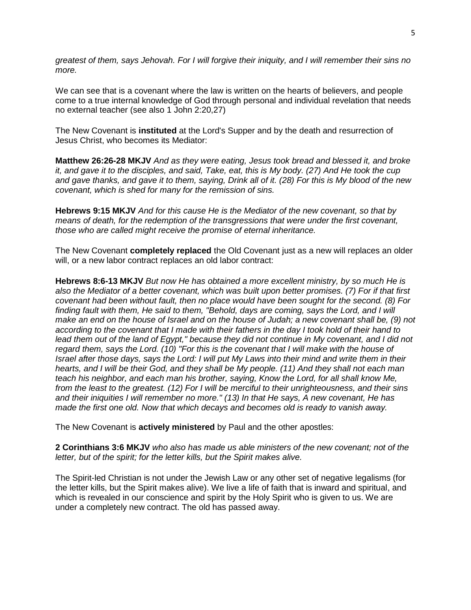*greatest of them, says Jehovah. For I will forgive their iniquity, and I will remember their sins no more.*

We can see that is a covenant where the law is written on the hearts of believers, and people come to a true internal knowledge of God through personal and individual revelation that needs no external teacher (see also 1 John 2:20,27)

The New Covenant is **instituted** at the Lord's Supper and by the death and resurrection of Jesus Christ, who becomes its Mediator:

**Matthew 26:26-28 MKJV** *And as they were eating, Jesus took bread and blessed it, and broke it, and gave it to the disciples, and said, Take, eat, this is My body. (27) And He took the cup and gave thanks, and gave it to them, saying, Drink all of it. (28) For this is My blood of the new covenant, which is shed for many for the remission of sins.*

**Hebrews 9:15 MKJV** *And for this cause He is the Mediator of the new covenant, so that by means of death, for the redemption of the transgressions that were under the first covenant, those who are called might receive the promise of eternal inheritance.*

The New Covenant **completely replaced** the Old Covenant just as a new will replaces an older will, or a new labor contract replaces an old labor contract:

**Hebrews 8:6-13 MKJV** *But now He has obtained a more excellent ministry, by so much He is also the Mediator of a better covenant, which was built upon better promises. (7) For if that first covenant had been without fault, then no place would have been sought for the second. (8) For finding fault with them, He said to them, "Behold, days are coming, says the Lord, and I will make an end on the house of Israel and on the house of Judah; a new covenant shall be, (9) not according to the covenant that I made with their fathers in the day I took hold of their hand to*  lead them out of the land of Egypt," because they did not continue in My covenant, and I did not *regard them, says the Lord. (10) "For this is the covenant that I will make with the house of Israel after those days, says the Lord: I will put My Laws into their mind and write them in their hearts, and I will be their God, and they shall be My people. (11) And they shall not each man teach his neighbor, and each man his brother, saying, Know the Lord, for all shall know Me, from the least to the greatest. (12) For I will be merciful to their unrighteousness, and their sins and their iniquities I will remember no more." (13) In that He says, A new covenant, He has made the first one old. Now that which decays and becomes old is ready to vanish away.*

The New Covenant is **actively ministered** by Paul and the other apostles:

**2 Corinthians 3:6 MKJV** *who also has made us able ministers of the new covenant; not of the letter, but of the spirit; for the letter kills, but the Spirit makes alive.*

The Spirit-led Christian is not under the Jewish Law or any other set of negative legalisms (for the letter kills, but the Spirit makes alive). We live a life of faith that is inward and spiritual, and which is revealed in our conscience and spirit by the Holy Spirit who is given to us. We are under a completely new contract. The old has passed away.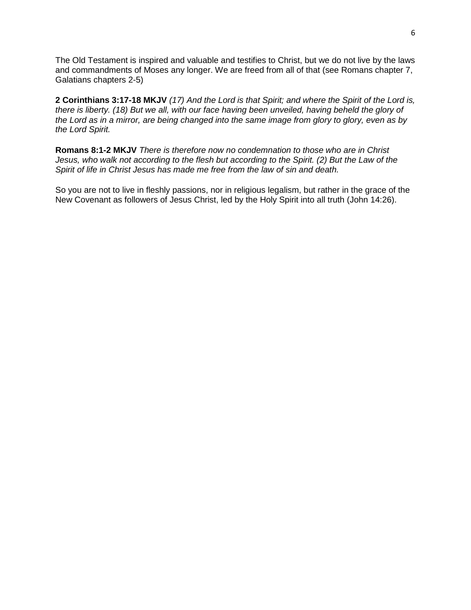The Old Testament is inspired and valuable and testifies to Christ, but we do not live by the laws and commandments of Moses any longer. We are freed from all of that (see Romans chapter 7, Galatians chapters 2-5)

**2 Corinthians 3:17-18 MKJV** *(17) And the Lord is that Spirit; and where the Spirit of the Lord is, there is liberty. (18) But we all, with our face having been unveiled, having beheld the glory of the Lord as in a mirror, are being changed into the same image from glory to glory, even as by the Lord Spirit.*

**Romans 8:1-2 MKJV** *There is therefore now no condemnation to those who are in Christ Jesus, who walk not according to the flesh but according to the Spirit. (2) But the Law of the Spirit of life in Christ Jesus has made me free from the law of sin and death.*

So you are not to live in fleshly passions, nor in religious legalism, but rather in the grace of the New Covenant as followers of Jesus Christ, led by the Holy Spirit into all truth (John 14:26).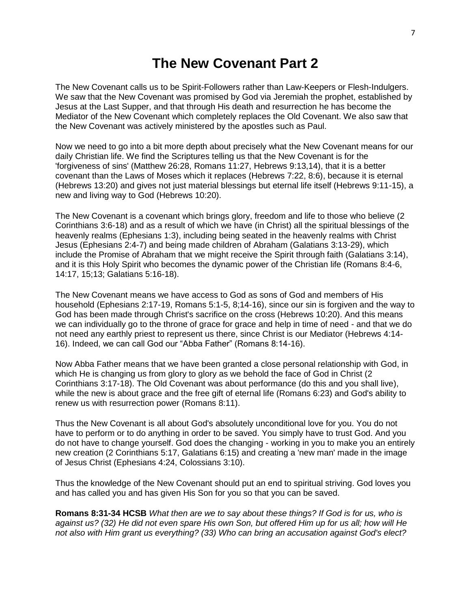#### **The New Covenant Part 2**

The New Covenant calls us to be Spirit-Followers rather than Law-Keepers or Flesh-Indulgers. We saw that the New Covenant was promised by God via Jeremiah the prophet, established by Jesus at the Last Supper, and that through His death and resurrection he has become the Mediator of the New Covenant which completely replaces the Old Covenant. We also saw that the New Covenant was actively ministered by the apostles such as Paul.

Now we need to go into a bit more depth about precisely what the New Covenant means for our daily Christian life. We find the Scriptures telling us that the New Covenant is for the 'forgiveness of sins' (Matthew 26:28, Romans 11:27, Hebrews 9:13,14), that it is a better covenant than the Laws of Moses which it replaces (Hebrews 7:22, 8:6), because it is eternal (Hebrews 13:20) and gives not just material blessings but eternal life itself (Hebrews 9:11-15), a new and living way to God (Hebrews 10:20).

The New Covenant is a covenant which brings glory, freedom and life to those who believe (2 Corinthians 3:6-18) and as a result of which we have (in Christ) all the spiritual blessings of the heavenly realms (Ephesians 1:3), including being seated in the heavenly realms with Christ Jesus (Ephesians 2:4-7) and being made children of Abraham (Galatians 3:13-29), which include the Promise of Abraham that we might receive the Spirit through faith (Galatians 3:14), and it is this Holy Spirit who becomes the dynamic power of the Christian life (Romans 8:4-6, 14:17, 15;13; Galatians 5:16-18).

The New Covenant means we have access to God as sons of God and members of His household (Ephesians 2:17-19, Romans 5:1-5, 8;14-16), since our sin is forgiven and the way to God has been made through Christ's sacrifice on the cross (Hebrews 10:20). And this means we can individually go to the throne of grace for grace and help in time of need - and that we do not need any earthly priest to represent us there, since Christ is our Mediator (Hebrews 4:14- 16). Indeed, we can call God our "Abba Father" (Romans 8:14-16).

Now Abba Father means that we have been granted a close personal relationship with God, in which He is changing us from glory to glory as we behold the face of God in Christ (2) Corinthians 3:17-18). The Old Covenant was about performance (do this and you shall live), while the new is about grace and the free gift of eternal life (Romans 6:23) and God's ability to renew us with resurrection power (Romans 8:11).

Thus the New Covenant is all about God's absolutely unconditional love for you. You do not have to perform or to do anything in order to be saved. You simply have to trust God. And you do not have to change yourself. God does the changing - working in you to make you an entirely new creation (2 Corinthians 5:17, Galatians 6:15) and creating a 'new man' made in the image of Jesus Christ (Ephesians 4:24, Colossians 3:10).

Thus the knowledge of the New Covenant should put an end to spiritual striving. God loves you and has called you and has given His Son for you so that you can be saved.

**Romans 8:31-34 HCSB** *What then are we to say about these things? If God is for us, who is against us? (32) He did not even spare His own Son, but offered Him up for us all; how will He not also with Him grant us everything? (33) Who can bring an accusation against God's elect?*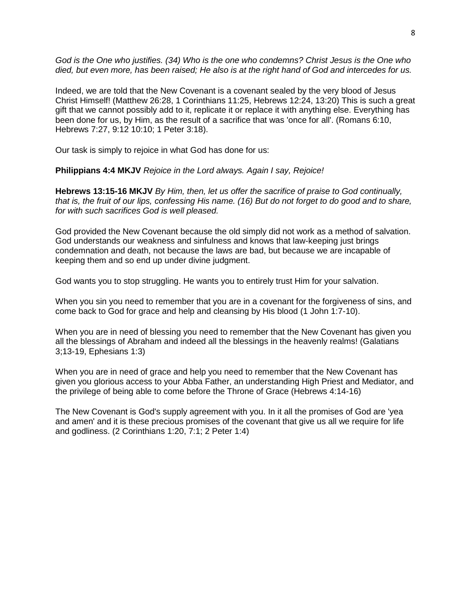*God is the One who justifies. (34) Who is the one who condemns? Christ Jesus is the One who died, but even more, has been raised; He also is at the right hand of God and intercedes for us.*

Indeed, we are told that the New Covenant is a covenant sealed by the very blood of Jesus Christ Himself! (Matthew 26:28, 1 Corinthians 11:25, Hebrews 12:24, 13:20) This is such a great gift that we cannot possibly add to it, replicate it or replace it with anything else. Everything has been done for us, by Him, as the result of a sacrifice that was 'once for all'. (Romans 6:10, Hebrews 7:27, 9:12 10:10; 1 Peter 3:18).

Our task is simply to rejoice in what God has done for us:

**Philippians 4:4 MKJV** *Rejoice in the Lord always. Again I say, Rejoice!*

**Hebrews 13:15-16 MKJV** *By Him, then, let us offer the sacrifice of praise to God continually, that is, the fruit of our lips, confessing His name. (16) But do not forget to do good and to share, for with such sacrifices God is well pleased.*

God provided the New Covenant because the old simply did not work as a method of salvation. God understands our weakness and sinfulness and knows that law-keeping just brings condemnation and death, not because the laws are bad, but because we are incapable of keeping them and so end up under divine judgment.

God wants you to stop struggling. He wants you to entirely trust Him for your salvation.

When you sin you need to remember that you are in a covenant for the forgiveness of sins, and come back to God for grace and help and cleansing by His blood (1 John 1:7-10).

When you are in need of blessing you need to remember that the New Covenant has given you all the blessings of Abraham and indeed all the blessings in the heavenly realms! (Galatians 3;13-19, Ephesians 1:3)

When you are in need of grace and help you need to remember that the New Covenant has given you glorious access to your Abba Father, an understanding High Priest and Mediator, and the privilege of being able to come before the Throne of Grace (Hebrews 4:14-16)

The New Covenant is God's supply agreement with you. In it all the promises of God are 'yea and amen' and it is these precious promises of the covenant that give us all we require for life and godliness. (2 Corinthians 1:20, 7:1; 2 Peter 1:4)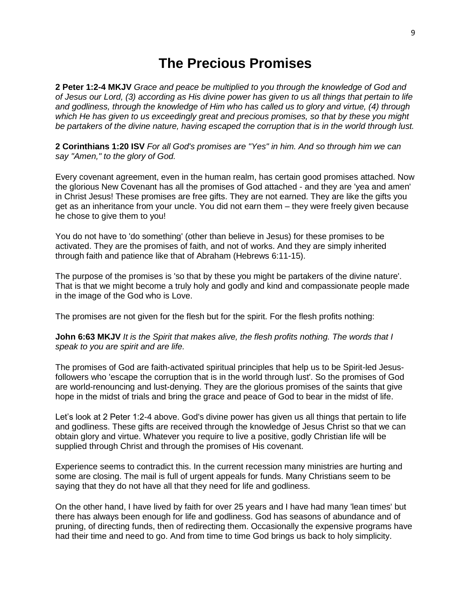#### **The Precious Promises**

**2 Peter 1:2-4 MKJV** *Grace and peace be multiplied to you through the knowledge of God and of Jesus our Lord, (3) according as His divine power has given to us all things that pertain to life and godliness, through the knowledge of Him who has called us to glory and virtue, (4) through which He has given to us exceedingly great and precious promises, so that by these you might be partakers of the divine nature, having escaped the corruption that is in the world through lust.*

**2 Corinthians 1:20 ISV** *For all God's promises are "Yes" in him. And so through him we can say "Amen," to the glory of God.*

Every covenant agreement, even in the human realm, has certain good promises attached. Now the glorious New Covenant has all the promises of God attached - and they are 'yea and amen' in Christ Jesus! These promises are free gifts. They are not earned. They are like the gifts you get as an inheritance from your uncle. You did not earn them – they were freely given because he chose to give them to you!

You do not have to 'do something' (other than believe in Jesus) for these promises to be activated. They are the promises of faith, and not of works. And they are simply inherited through faith and patience like that of Abraham (Hebrews 6:11-15).

The purpose of the promises is 'so that by these you might be partakers of the divine nature'. That is that we might become a truly holy and godly and kind and compassionate people made in the image of the God who is Love.

The promises are not given for the flesh but for the spirit. For the flesh profits nothing:

**John 6:63 MKJV** *It is the Spirit that makes alive, the flesh profits nothing. The words that I speak to you are spirit and are life.*

The promises of God are faith-activated spiritual principles that help us to be Spirit-led Jesusfollowers who 'escape the corruption that is in the world through lust'. So the promises of God are world-renouncing and lust-denying. They are the glorious promises of the saints that give hope in the midst of trials and bring the grace and peace of God to bear in the midst of life.

Let's look at 2 Peter 1:2-4 above. God's divine power has given us all things that pertain to life and godliness. These gifts are received through the knowledge of Jesus Christ so that we can obtain glory and virtue. Whatever you require to live a positive, godly Christian life will be supplied through Christ and through the promises of His covenant.

Experience seems to contradict this. In the current recession many ministries are hurting and some are closing. The mail is full of urgent appeals for funds. Many Christians seem to be saying that they do not have all that they need for life and godliness.

On the other hand, I have lived by faith for over 25 years and I have had many 'lean times' but there has always been enough for life and godliness. God has seasons of abundance and of pruning, of directing funds, then of redirecting them. Occasionally the expensive programs have had their time and need to go. And from time to time God brings us back to holy simplicity.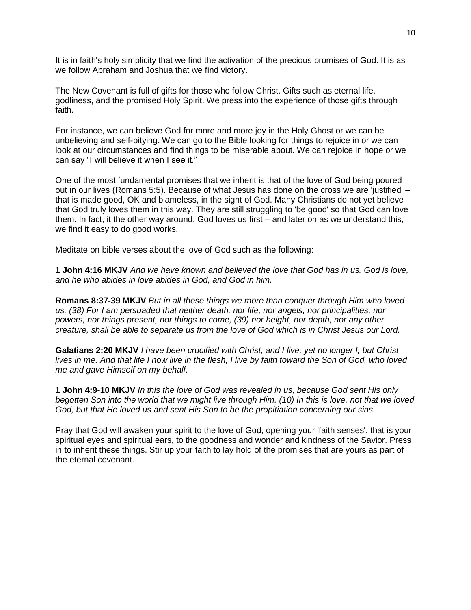It is in faith's holy simplicity that we find the activation of the precious promises of God. It is as we follow Abraham and Joshua that we find victory.

The New Covenant is full of gifts for those who follow Christ. Gifts such as eternal life, godliness, and the promised Holy Spirit. We press into the experience of those gifts through faith.

For instance, we can believe God for more and more joy in the Holy Ghost or we can be unbelieving and self-pitying. We can go to the Bible looking for things to rejoice in or we can look at our circumstances and find things to be miserable about. We can rejoice in hope or we can say "I will believe it when I see it."

One of the most fundamental promises that we inherit is that of the love of God being poured out in our lives (Romans 5:5). Because of what Jesus has done on the cross we are 'justified' – that is made good, OK and blameless, in the sight of God. Many Christians do not yet believe that God truly loves them in this way. They are still struggling to 'be good' so that God can love them. In fact, it the other way around. God loves us first – and later on as we understand this, we find it easy to do good works.

Meditate on bible verses about the love of God such as the following:

**1 John 4:16 MKJV** *And we have known and believed the love that God has in us. God is love, and he who abides in love abides in God, and God in him.*

**Romans 8:37-39 MKJV** *But in all these things we more than conquer through Him who loved us. (38) For I am persuaded that neither death, nor life, nor angels, nor principalities, nor powers, nor things present, nor things to come, (39) nor height, nor depth, nor any other creature, shall be able to separate us from the love of God which is in Christ Jesus our Lord.*

**Galatians 2:20 MKJV** *I have been crucified with Christ, and I live; yet no longer I, but Christ lives in me. And that life I now live in the flesh, I live by faith toward the Son of God, who loved me and gave Himself on my behalf.*

**1 John 4:9-10 MKJV** *In this the love of God was revealed in us, because God sent His only begotten Son into the world that we might live through Him. (10) In this is love, not that we loved God, but that He loved us and sent His Son to be the propitiation concerning our sins.*

Pray that God will awaken your spirit to the love of God, opening your 'faith senses', that is your spiritual eyes and spiritual ears, to the goodness and wonder and kindness of the Savior. Press in to inherit these things. Stir up your faith to lay hold of the promises that are yours as part of the eternal covenant.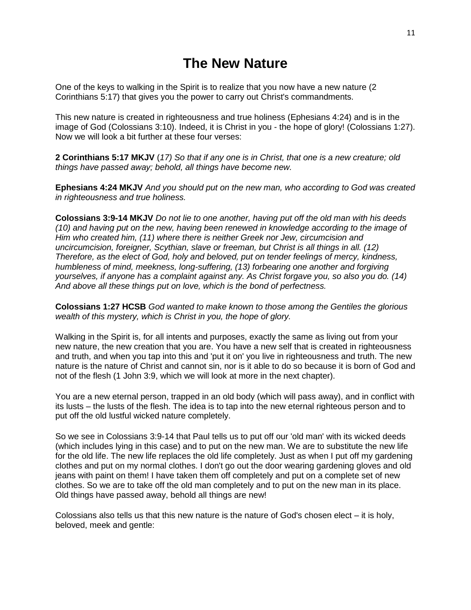#### **The New Nature**

One of the keys to walking in the Spirit is to realize that you now have a new nature (2 Corinthians 5:17) that gives you the power to carry out Christ's commandments.

This new nature is created in righteousness and true holiness (Ephesians 4:24) and is in the image of God (Colossians 3:10). Indeed, it is Christ in you - the hope of glory! (Colossians 1:27). Now we will look a bit further at these four verses:

**2 Corinthians 5:17 MKJV** (*17) So that if any one is in Christ, that one is a new creature; old things have passed away; behold, all things have become new.*

**Ephesians 4:24 MKJV** *And you should put on the new man, who according to God was created in righteousness and true holiness.*

**Colossians 3:9-14 MKJV** *Do not lie to one another, having put off the old man with his deeds (10) and having put on the new, having been renewed in knowledge according to the image of Him who created him, (11) where there is neither Greek nor Jew, circumcision and uncircumcision, foreigner, Scythian, slave or freeman, but Christ is all things in all. (12) Therefore, as the elect of God, holy and beloved, put on tender feelings of mercy, kindness, humbleness of mind, meekness, long-suffering, (13) forbearing one another and forgiving yourselves, if anyone has a complaint against any. As Christ forgave you, so also you do. (14) And above all these things put on love, which is the bond of perfectness.*

**Colossians 1:27 HCSB** *God wanted to make known to those among the Gentiles the glorious wealth of this mystery, which is Christ in you, the hope of glory.*

Walking in the Spirit is, for all intents and purposes, exactly the same as living out from your new nature, the new creation that you are. You have a new self that is created in righteousness and truth, and when you tap into this and 'put it on' you live in righteousness and truth. The new nature is the nature of Christ and cannot sin, nor is it able to do so because it is born of God and not of the flesh (1 John 3:9, which we will look at more in the next chapter).

You are a new eternal person, trapped in an old body (which will pass away), and in conflict with its lusts – the lusts of the flesh. The idea is to tap into the new eternal righteous person and to put off the old lustful wicked nature completely.

So we see in Colossians 3:9-14 that Paul tells us to put off our 'old man' with its wicked deeds (which includes lying in this case) and to put on the new man. We are to substitute the new life for the old life. The new life replaces the old life completely. Just as when I put off my gardening clothes and put on my normal clothes. I don't go out the door wearing gardening gloves and old jeans with paint on them! I have taken them off completely and put on a complete set of new clothes. So we are to take off the old man completely and to put on the new man in its place. Old things have passed away, behold all things are new!

Colossians also tells us that this new nature is the nature of God's chosen elect – it is holy, beloved, meek and gentle: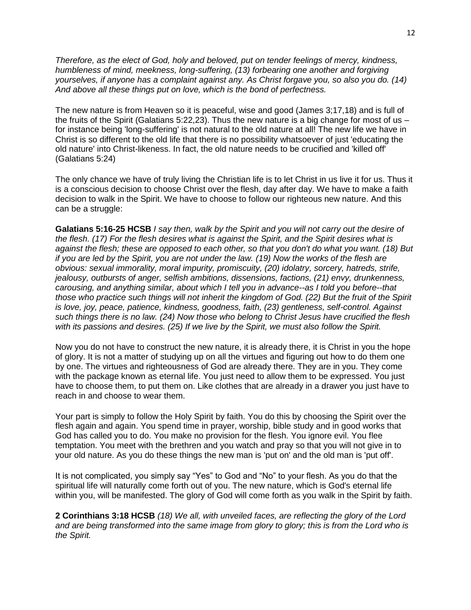*Therefore, as the elect of God, holy and beloved, put on tender feelings of mercy, kindness, humbleness of mind, meekness, long-suffering, (13) forbearing one another and forgiving yourselves, if anyone has a complaint against any. As Christ forgave you, so also you do. (14) And above all these things put on love, which is the bond of perfectness.*

The new nature is from Heaven so it is peaceful, wise and good (James 3;17,18) and is full of the fruits of the Spirit (Galatians 5:22,23). Thus the new nature is a big change for most of us – for instance being 'long-suffering' is not natural to the old nature at all! The new life we have in Christ is so different to the old life that there is no possibility whatsoever of just 'educating the old nature' into Christ-likeness. In fact, the old nature needs to be crucified and 'killed off' (Galatians 5:24)

The only chance we have of truly living the Christian life is to let Christ in us live it for us. Thus it is a conscious decision to choose Christ over the flesh, day after day. We have to make a faith decision to walk in the Spirit. We have to choose to follow our righteous new nature. And this can be a struggle:

**Galatians 5:16-25 HCSB** *I say then, walk by the Spirit and you will not carry out the desire of the flesh. (17) For the flesh desires what is against the Spirit, and the Spirit desires what is against the flesh; these are opposed to each other, so that you don't do what you want. (18) But if you are led by the Spirit, you are not under the law. (19) Now the works of the flesh are obvious: sexual immorality, moral impurity, promiscuity, (20) idolatry, sorcery, hatreds, strife, jealousy, outbursts of anger, selfish ambitions, dissensions, factions, (21) envy, drunkenness, carousing, and anything similar, about which I tell you in advance--as I told you before--that those who practice such things will not inherit the kingdom of God. (22) But the fruit of the Spirit is love, joy, peace, patience, kindness, goodness, faith, (23) gentleness, self-control. Against such things there is no law. (24) Now those who belong to Christ Jesus have crucified the flesh with its passions and desires. (25) If we live by the Spirit, we must also follow the Spirit.*

Now you do not have to construct the new nature, it is already there, it is Christ in you the hope of glory. It is not a matter of studying up on all the virtues and figuring out how to do them one by one. The virtues and righteousness of God are already there. They are in you. They come with the package known as eternal life. You just need to allow them to be expressed. You just have to choose them, to put them on. Like clothes that are already in a drawer you just have to reach in and choose to wear them.

Your part is simply to follow the Holy Spirit by faith. You do this by choosing the Spirit over the flesh again and again. You spend time in prayer, worship, bible study and in good works that God has called you to do. You make no provision for the flesh. You ignore evil. You flee temptation. You meet with the brethren and you watch and pray so that you will not give in to your old nature. As you do these things the new man is 'put on' and the old man is 'put off'.

It is not complicated, you simply say "Yes" to God and "No" to your flesh. As you do that the spiritual life will naturally come forth out of you. The new nature, which is God's eternal life within you, will be manifested. The glory of God will come forth as you walk in the Spirit by faith.

**2 Corinthians 3:18 HCSB** *(18) We all, with unveiled faces, are reflecting the glory of the Lord and are being transformed into the same image from glory to glory; this is from the Lord who is the Spirit.*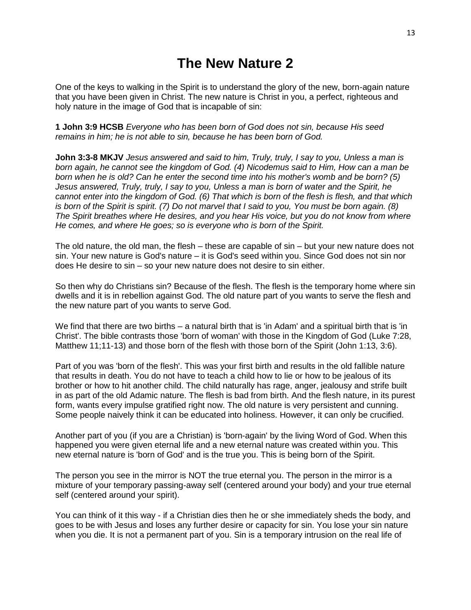### **The New Nature 2**

One of the keys to walking in the Spirit is to understand the glory of the new, born-again nature that you have been given in Christ. The new nature is Christ in you, a perfect, righteous and holy nature in the image of God that is incapable of sin:

**1 John 3:9 HCSB** *Everyone who has been born of God does not sin, because His seed remains in him; he is not able to sin, because he has been born of God.*

**John 3:3-8 MKJV** *Jesus answered and said to him, Truly, truly, I say to you, Unless a man is born again, he cannot see the kingdom of God. (4) Nicodemus said to Him, How can a man be born when he is old? Can he enter the second time into his mother's womb and be born? (5) Jesus answered, Truly, truly, I say to you, Unless a man is born of water and the Spirit, he cannot enter into the kingdom of God. (6) That which is born of the flesh is flesh, and that which is born of the Spirit is spirit. (7) Do not marvel that I said to you, You must be born again. (8) The Spirit breathes where He desires, and you hear His voice, but you do not know from where He comes, and where He goes; so is everyone who is born of the Spirit.*

The old nature, the old man, the flesh – these are capable of sin – but your new nature does not sin. Your new nature is God's nature – it is God's seed within you. Since God does not sin nor does He desire to sin – so your new nature does not desire to sin either.

So then why do Christians sin? Because of the flesh. The flesh is the temporary home where sin dwells and it is in rebellion against God. The old nature part of you wants to serve the flesh and the new nature part of you wants to serve God.

We find that there are two births – a natural birth that is 'in Adam' and a spiritual birth that is 'in Christ'. The bible contrasts those 'born of woman' with those in the Kingdom of God (Luke 7:28, Matthew 11;11-13) and those born of the flesh with those born of the Spirit (John 1:13, 3:6).

Part of you was 'born of the flesh'. This was your first birth and results in the old fallible nature that results in death. You do not have to teach a child how to lie or how to be jealous of its brother or how to hit another child. The child naturally has rage, anger, jealousy and strife built in as part of the old Adamic nature. The flesh is bad from birth. And the flesh nature, in its purest form, wants every impulse gratified right now. The old nature is very persistent and cunning. Some people naively think it can be educated into holiness. However, it can only be crucified.

Another part of you (if you are a Christian) is 'born-again' by the living Word of God. When this happened you were given eternal life and a new eternal nature was created within you. This new eternal nature is 'born of God' and is the true you. This is being born of the Spirit.

The person you see in the mirror is NOT the true eternal you. The person in the mirror is a mixture of your temporary passing-away self (centered around your body) and your true eternal self (centered around your spirit).

You can think of it this way - if a Christian dies then he or she immediately sheds the body, and goes to be with Jesus and loses any further desire or capacity for sin. You lose your sin nature when you die. It is not a permanent part of you. Sin is a temporary intrusion on the real life of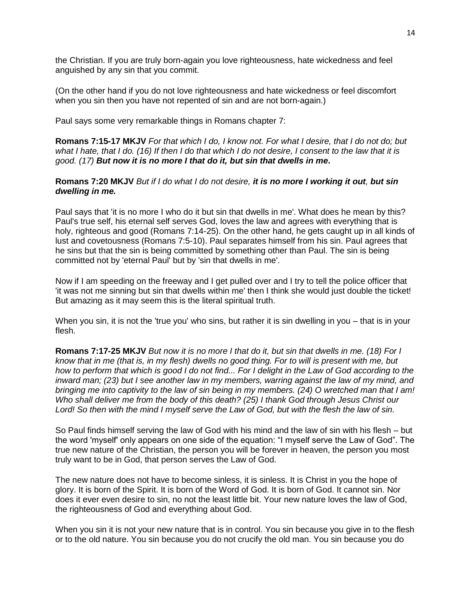the Christian. If you are truly born-again you love righteousness, hate wickedness and feel anguished by any sin that you commit.

(On the other hand if you do not love righteousness and hate wickedness or feel discomfort when you sin then you have not repented of sin and are not born-again.)

Paul says some very remarkable things in Romans chapter 7:

**Romans 7:15-17 MKJV** *For that which I do, I know not. For what I desire, that I do not do; but what I hate, that I do. (16) If then I do that which I do not desire, I consent to the law that it is good. (17) But now it is no more I that do it, but sin that dwells in me***.**

#### **Romans 7:20 MKJV** *But if I do what I do not desire, it is no more I working it out, but sin dwelling in me.*

Paul says that 'it is no more I who do it but sin that dwells in me'. What does he mean by this? Paul's true self, his eternal self serves God, loves the law and agrees with everything that is holy, righteous and good (Romans 7:14-25). On the other hand, he gets caught up in all kinds of lust and covetousness (Romans 7:5-10). Paul separates himself from his sin. Paul agrees that he sins but that the sin is being committed by something other than Paul. The sin is being committed not by 'eternal Paul' but by 'sin that dwells in me'.

Now if I am speeding on the freeway and I get pulled over and I try to tell the police officer that 'it was not me sinning but sin that dwells within me' then I think she would just double the ticket! But amazing as it may seem this is the literal spiritual truth.

When you sin, it is not the 'true you' who sins, but rather it is sin dwelling in you – that is in your flesh.

**Romans 7:17-25 MKJV** *But now it is no more I that do it, but sin that dwells in me. (18) For I know that in me (that is, in my flesh) dwells no good thing. For to will is present with me, but how to perform that which is good I do not find... For I delight in the Law of God according to the inward man; (23) but I see another law in my members, warring against the law of my mind, and bringing me into captivity to the law of sin being in my members. (24) O wretched man that I am! Who shall deliver me from the body of this death? (25) I thank God through Jesus Christ our Lord! So then with the mind I myself serve the Law of God, but with the flesh the law of sin.*

So Paul finds himself serving the law of God with his mind and the law of sin with his flesh – but the word 'myself' only appears on one side of the equation: "I myself serve the Law of God". The true new nature of the Christian, the person you will be forever in heaven, the person you most truly want to be in God, that person serves the Law of God.

The new nature does not have to become sinless, it is sinless. It is Christ in you the hope of glory. It is born of the Spirit. It is born of the Word of God. It is born of God. It cannot sin. Nor does it ever even desire to sin, no not the least little bit. Your new nature loves the law of God, the righteousness of God and everything about God.

When you sin it is not your new nature that is in control. You sin because you give in to the flesh or to the old nature. You sin because you do not crucify the old man. You sin because you do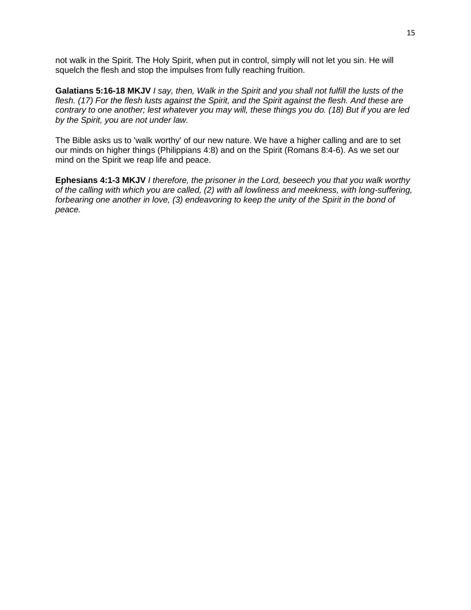not walk in the Spirit. The Holy Spirit, when put in control, simply will not let you sin. He will squelch the flesh and stop the impulses from fully reaching fruition.

**Galatians 5:16-18 MKJV** *I say, then, Walk in the Spirit and you shall not fulfill the lusts of the flesh. (17) For the flesh lusts against the Spirit, and the Spirit against the flesh. And these are contrary to one another; lest whatever you may will, these things you do. (18) But if you are led by the Spirit, you are not under law.*

The Bible asks us to 'walk worthy' of our new nature. We have a higher calling and are to set our minds on higher things (Philippians 4:8) and on the Spirit (Romans 8:4-6). As we set our mind on the Spirit we reap life and peace.

**Ephesians 4:1-3 MKJV** *I therefore, the prisoner in the Lord, beseech you that you walk worthy of the calling with which you are called, (2) with all lowliness and meekness, with long-suffering, forbearing one another in love, (3) endeavoring to keep the unity of the Spirit in the bond of peace.*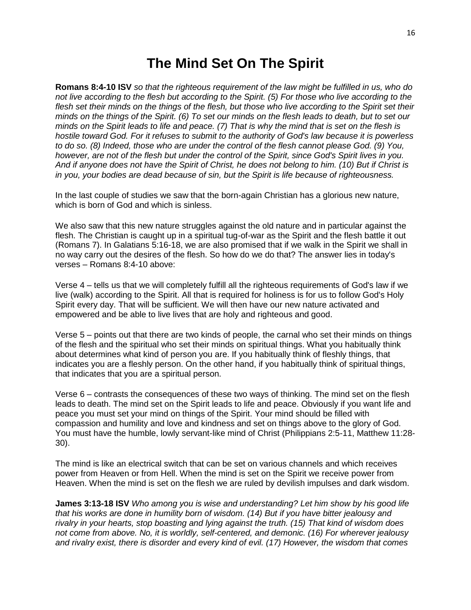#### **The Mind Set On The Spirit**

**Romans 8:4-10 ISV** *so that the righteous requirement of the law might be fulfilled in us, who do not live according to the flesh but according to the Spirit. (5) For those who live according to the flesh set their minds on the things of the flesh, but those who live according to the Spirit set their minds on the things of the Spirit. (6) To set our minds on the flesh leads to death, but to set our minds on the Spirit leads to life and peace. (7) That is why the mind that is set on the flesh is hostile toward God. For it refuses to submit to the authority of God's law because it is powerless to do so. (8) Indeed, those who are under the control of the flesh cannot please God. (9) You, however, are not of the flesh but under the control of the Spirit, since God's Spirit lives in you. And if anyone does not have the Spirit of Christ, he does not belong to him. (10) But if Christ is in you, your bodies are dead because of sin, but the Spirit is life because of righteousness.*

In the last couple of studies we saw that the born-again Christian has a glorious new nature, which is born of God and which is sinless.

We also saw that this new nature struggles against the old nature and in particular against the flesh. The Christian is caught up in a spiritual tug-of-war as the Spirit and the flesh battle it out (Romans 7). In Galatians 5:16-18, we are also promised that if we walk in the Spirit we shall in no way carry out the desires of the flesh. So how do we do that? The answer lies in today's verses – Romans 8:4-10 above:

Verse 4 – tells us that we will completely fulfill all the righteous requirements of God's law if we live (walk) according to the Spirit. All that is required for holiness is for us to follow God's Holy Spirit every day. That will be sufficient. We will then have our new nature activated and empowered and be able to live lives that are holy and righteous and good.

Verse 5 – points out that there are two kinds of people, the carnal who set their minds on things of the flesh and the spiritual who set their minds on spiritual things. What you habitually think about determines what kind of person you are. If you habitually think of fleshly things, that indicates you are a fleshly person. On the other hand, if you habitually think of spiritual things, that indicates that you are a spiritual person.

Verse 6 – contrasts the consequences of these two ways of thinking. The mind set on the flesh leads to death. The mind set on the Spirit leads to life and peace. Obviously if you want life and peace you must set your mind on things of the Spirit. Your mind should be filled with compassion and humility and love and kindness and set on things above to the glory of God. You must have the humble, lowly servant-like mind of Christ (Philippians 2:5-11, Matthew 11:28- 30).

The mind is like an electrical switch that can be set on various channels and which receives power from Heaven or from Hell. When the mind is set on the Spirit we receive power from Heaven. When the mind is set on the flesh we are ruled by devilish impulses and dark wisdom.

**James 3:13-18 ISV** *Who among you is wise and understanding? Let him show by his good life that his works are done in humility born of wisdom. (14) But if you have bitter jealousy and rivalry in your hearts, stop boasting and lying against the truth. (15) That kind of wisdom does not come from above. No, it is worldly, self-centered, and demonic. (16) For wherever jealousy and rivalry exist, there is disorder and every kind of evil. (17) However, the wisdom that comes*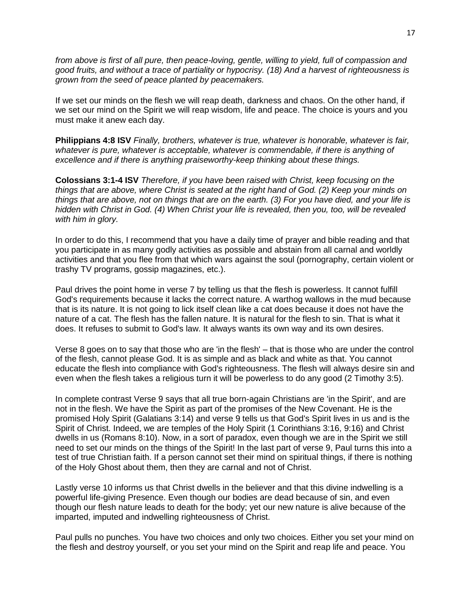*from above is first of all pure, then peace-loving, gentle, willing to yield, full of compassion and good fruits, and without a trace of partiality or hypocrisy. (18) And a harvest of righteousness is grown from the seed of peace planted by peacemakers.*

If we set our minds on the flesh we will reap death, darkness and chaos. On the other hand, if we set our mind on the Spirit we will reap wisdom, life and peace. The choice is yours and you must make it anew each day.

**Philippians 4:8 ISV** *Finally, brothers, whatever is true, whatever is honorable, whatever is fair, whatever is pure, whatever is acceptable, whatever is commendable, if there is anything of excellence and if there is anything praiseworthy-keep thinking about these things.*

**Colossians 3:1-4 ISV** *Therefore, if you have been raised with Christ, keep focusing on the things that are above, where Christ is seated at the right hand of God. (2) Keep your minds on things that are above, not on things that are on the earth. (3) For you have died, and your life is hidden with Christ in God. (4) When Christ your life is revealed, then you, too, will be revealed with him in glory.*

In order to do this, I recommend that you have a daily time of prayer and bible reading and that you participate in as many godly activities as possible and abstain from all carnal and worldly activities and that you flee from that which wars against the soul (pornography, certain violent or trashy TV programs, gossip magazines, etc.).

Paul drives the point home in verse 7 by telling us that the flesh is powerless. It cannot fulfill God's requirements because it lacks the correct nature. A warthog wallows in the mud because that is its nature. It is not going to lick itself clean like a cat does because it does not have the nature of a cat. The flesh has the fallen nature. It is natural for the flesh to sin. That is what it does. It refuses to submit to God's law. It always wants its own way and its own desires.

Verse 8 goes on to say that those who are 'in the flesh' – that is those who are under the control of the flesh, cannot please God. It is as simple and as black and white as that. You cannot educate the flesh into compliance with God's righteousness. The flesh will always desire sin and even when the flesh takes a religious turn it will be powerless to do any good (2 Timothy 3:5).

In complete contrast Verse 9 says that all true born-again Christians are 'in the Spirit', and are not in the flesh. We have the Spirit as part of the promises of the New Covenant. He is the promised Holy Spirit (Galatians 3:14) and verse 9 tells us that God's Spirit lives in us and is the Spirit of Christ. Indeed, we are temples of the Holy Spirit (1 Corinthians 3:16, 9:16) and Christ dwells in us (Romans 8:10). Now, in a sort of paradox, even though we are in the Spirit we still need to set our minds on the things of the Spirit! In the last part of verse 9, Paul turns this into a test of true Christian faith. If a person cannot set their mind on spiritual things, if there is nothing of the Holy Ghost about them, then they are carnal and not of Christ.

Lastly verse 10 informs us that Christ dwells in the believer and that this divine indwelling is a powerful life-giving Presence. Even though our bodies are dead because of sin, and even though our flesh nature leads to death for the body; yet our new nature is alive because of the imparted, imputed and indwelling righteousness of Christ.

Paul pulls no punches. You have two choices and only two choices. Either you set your mind on the flesh and destroy yourself, or you set your mind on the Spirit and reap life and peace. You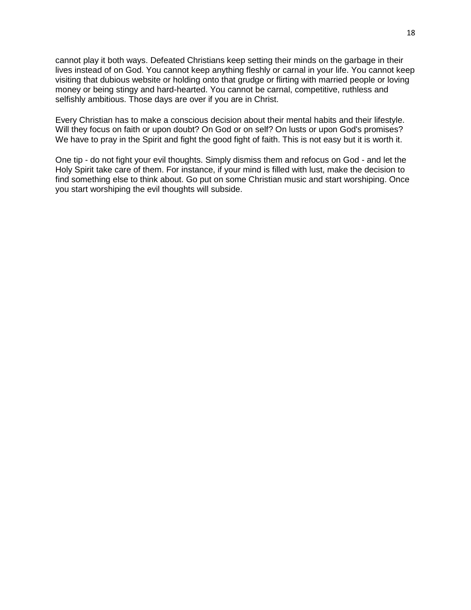cannot play it both ways. Defeated Christians keep setting their minds on the garbage in their lives instead of on God. You cannot keep anything fleshly or carnal in your life. You cannot keep visiting that dubious website or holding onto that grudge or flirting with married people or loving money or being stingy and hard-hearted. You cannot be carnal, competitive, ruthless and selfishly ambitious. Those days are over if you are in Christ.

Every Christian has to make a conscious decision about their mental habits and their lifestyle. Will they focus on faith or upon doubt? On God or on self? On lusts or upon God's promises? We have to pray in the Spirit and fight the good fight of faith. This is not easy but it is worth it.

One tip - do not fight your evil thoughts. Simply dismiss them and refocus on God - and let the Holy Spirit take care of them. For instance, if your mind is filled with lust, make the decision to find something else to think about. Go put on some Christian music and start worshiping. Once you start worshiping the evil thoughts will subside.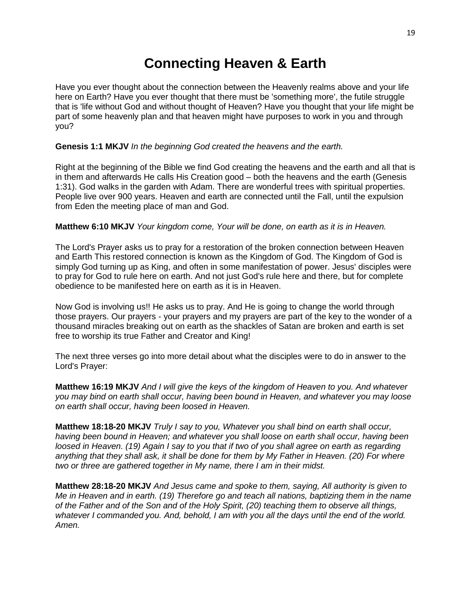# **Connecting Heaven & Earth**

Have you ever thought about the connection between the Heavenly realms above and your life here on Earth? Have you ever thought that there must be 'something more', the futile struggle that is 'life without God and without thought of Heaven? Have you thought that your life might be part of some heavenly plan and that heaven might have purposes to work in you and through you?

#### **Genesis 1:1 MKJV** *In the beginning God created the heavens and the earth.*

Right at the beginning of the Bible we find God creating the heavens and the earth and all that is in them and afterwards He calls His Creation good – both the heavens and the earth (Genesis 1:31). God walks in the garden with Adam. There are wonderful trees with spiritual properties. People live over 900 years. Heaven and earth are connected until the Fall, until the expulsion from Eden the meeting place of man and God.

#### **Matthew 6:10 MKJV** *Your kingdom come, Your will be done, on earth as it is in Heaven.*

The Lord's Prayer asks us to pray for a restoration of the broken connection between Heaven and Earth This restored connection is known as the Kingdom of God. The Kingdom of God is simply God turning up as King, and often in some manifestation of power. Jesus' disciples were to pray for God to rule here on earth. And not just God's rule here and there, but for complete obedience to be manifested here on earth as it is in Heaven.

Now God is involving us!! He asks us to pray. And He is going to change the world through those prayers. Our prayers - your prayers and my prayers are part of the key to the wonder of a thousand miracles breaking out on earth as the shackles of Satan are broken and earth is set free to worship its true Father and Creator and King!

The next three verses go into more detail about what the disciples were to do in answer to the Lord's Prayer:

**Matthew 16:19 MKJV** *And I will give the keys of the kingdom of Heaven to you. And whatever you may bind on earth shall occur, having been bound in Heaven, and whatever you may loose on earth shall occur, having been loosed in Heaven.*

**Matthew 18:18-20 MKJV** *Truly I say to you, Whatever you shall bind on earth shall occur, having been bound in Heaven; and whatever you shall loose on earth shall occur, having been loosed in Heaven. (19) Again I say to you that if two of you shall agree on earth as regarding anything that they shall ask, it shall be done for them by My Father in Heaven. (20) For where two or three are gathered together in My name, there I am in their midst.*

**Matthew 28:18-20 MKJV** *And Jesus came and spoke to them, saying, All authority is given to Me in Heaven and in earth. (19) Therefore go and teach all nations, baptizing them in the name of the Father and of the Son and of the Holy Spirit, (20) teaching them to observe all things, whatever I commanded you. And, behold, I am with you all the days until the end of the world. Amen.*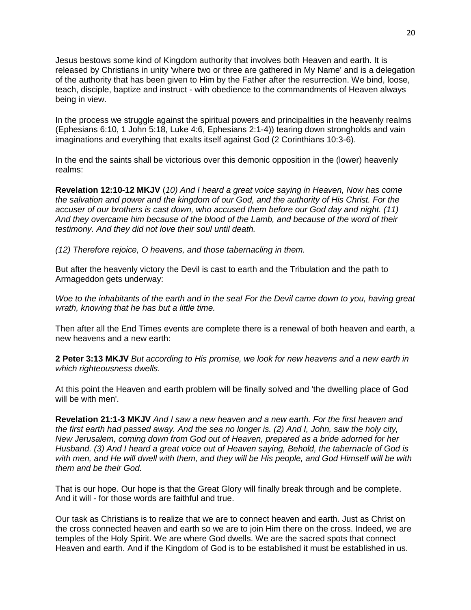Jesus bestows some kind of Kingdom authority that involves both Heaven and earth. It is released by Christians in unity 'where two or three are gathered in My Name' and is a delegation of the authority that has been given to Him by the Father after the resurrection. We bind, loose, teach, disciple, baptize and instruct - with obedience to the commandments of Heaven always being in view.

In the process we struggle against the spiritual powers and principalities in the heavenly realms (Ephesians 6:10, 1 John 5:18, Luke 4:6, Ephesians 2:1-4)) tearing down strongholds and vain imaginations and everything that exalts itself against God (2 Corinthians 10:3-6).

In the end the saints shall be victorious over this demonic opposition in the (lower) heavenly realms:

**Revelation 12:10-12 MKJV** (*10) And I heard a great voice saying in Heaven, Now has come the salvation and power and the kingdom of our God, and the authority of His Christ. For the accuser of our brothers is cast down, who accused them before our God day and night. (11) And they overcame him because of the blood of the Lamb, and because of the word of their testimony. And they did not love their soul until death.* 

*(12) Therefore rejoice, O heavens, and those tabernacling in them.* 

But after the heavenly victory the Devil is cast to earth and the Tribulation and the path to Armageddon gets underway:

*Woe to the inhabitants of the earth and in the sea! For the Devil came down to you, having great wrath, knowing that he has but a little time.*

Then after all the End Times events are complete there is a renewal of both heaven and earth, a new heavens and a new earth:

**2 Peter 3:13 MKJV** *But according to His promise, we look for new heavens and a new earth in which righteousness dwells.*

At this point the Heaven and earth problem will be finally solved and 'the dwelling place of God will be with men'.

**Revelation 21:1-3 MKJV** *And I saw a new heaven and a new earth. For the first heaven and the first earth had passed away. And the sea no longer is. (2) And I, John, saw the holy city, New Jerusalem, coming down from God out of Heaven, prepared as a bride adorned for her Husband. (3) And I heard a great voice out of Heaven saying, Behold, the tabernacle of God is*  with men, and He will dwell with them, and they will be His people, and God Himself will be with *them and be their God.* 

That is our hope. Our hope is that the Great Glory will finally break through and be complete. And it will - for those words are faithful and true.

Our task as Christians is to realize that we are to connect heaven and earth. Just as Christ on the cross connected heaven and earth so we are to join Him there on the cross. Indeed, we are temples of the Holy Spirit. We are where God dwells. We are the sacred spots that connect Heaven and earth. And if the Kingdom of God is to be established it must be established in us.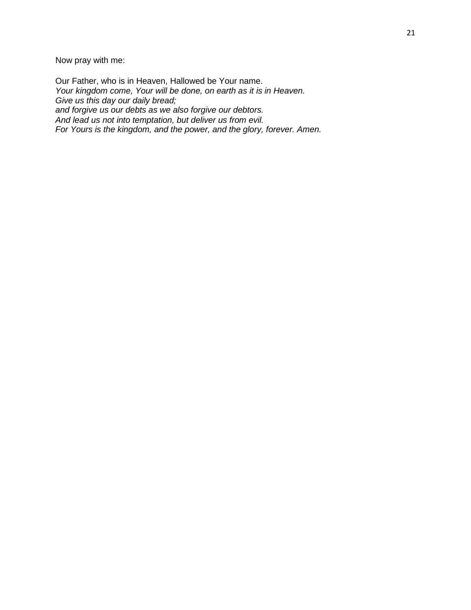Now pray with me:

Our Father, who is in Heaven, Hallowed be Your name. *Your kingdom come, Your will be done, on earth as it is in Heaven. Give us this day our daily bread; and forgive us our debts as we also forgive our debtors. And lead us not into temptation, but deliver us from evil. For Yours is the kingdom, and the power, and the glory, forever. Amen.*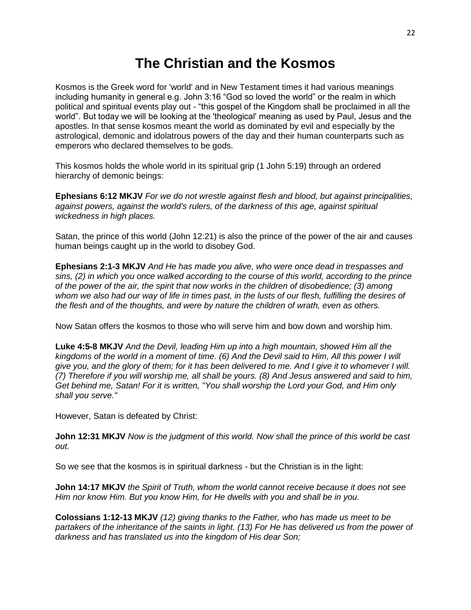### **The Christian and the Kosmos**

Kosmos is the Greek word for 'world' and in New Testament times it had various meanings including humanity in general e.g. John 3:16 "God so loved the world" or the realm in which political and spiritual events play out - "this gospel of the Kingdom shall be proclaimed in all the world". But today we will be looking at the 'theological' meaning as used by Paul, Jesus and the apostles. In that sense kosmos meant the world as dominated by evil and especially by the astrological, demonic and idolatrous powers of the day and their human counterparts such as emperors who declared themselves to be gods.

This kosmos holds the whole world in its spiritual grip (1 John 5:19) through an ordered hierarchy of demonic beings:

**Ephesians 6:12 MKJV** *For we do not wrestle against flesh and blood, but against principalities, against powers, against the world's rulers, of the darkness of this age, against spiritual wickedness in high places.*

Satan, the prince of this world (John 12:21) is also the prince of the power of the air and causes human beings caught up in the world to disobey God.

**Ephesians 2:1-3 MKJV** *And He has made you alive, who were once dead in trespasses and sins, (2) in which you once walked according to the course of this world, according to the prince of the power of the air, the spirit that now works in the children of disobedience; (3) among whom we also had our way of life in times past, in the lusts of our flesh, fulfilling the desires of the flesh and of the thoughts, and were by nature the children of wrath, even as others.*

Now Satan offers the kosmos to those who will serve him and bow down and worship him.

**Luke 4:5-8 MKJV** *And the Devil, leading Him up into a high mountain, showed Him all the kingdoms of the world in a moment of time. (6) And the Devil said to Him, All this power I will give you, and the glory of them; for it has been delivered to me. And I give it to whomever I will. (7) Therefore if you will worship me, all shall be yours. (8) And Jesus answered and said to him, Get behind me, Satan! For it is written, "You shall worship the Lord your God, and Him only shall you serve."*

However, Satan is defeated by Christ:

**John 12:31 MKJV** *Now is the judgment of this world. Now shall the prince of this world be cast out.*

So we see that the kosmos is in spiritual darkness - but the Christian is in the light:

**John 14:17 MKJV** *the Spirit of Truth, whom the world cannot receive because it does not see Him nor know Him. But you know Him, for He dwells with you and shall be in you.*

**Colossians 1:12-13 MKJV** *(12) giving thanks to the Father, who has made us meet to be partakers of the inheritance of the saints in light. (13) For He has delivered us from the power of darkness and has translated us into the kingdom of His dear Son;*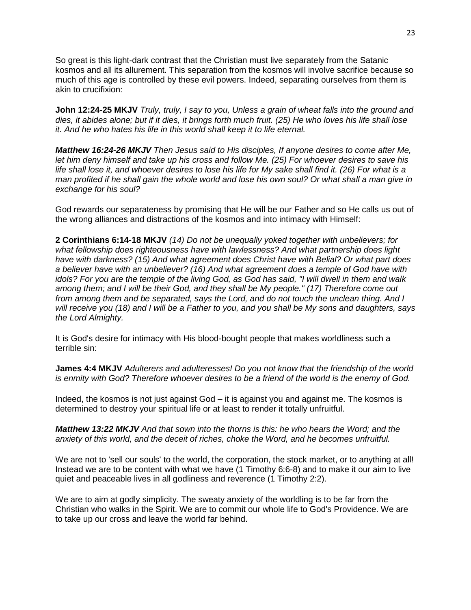So great is this light-dark contrast that the Christian must live separately from the Satanic kosmos and all its allurement. This separation from the kosmos will involve sacrifice because so much of this age is controlled by these evil powers. Indeed, separating ourselves from them is akin to crucifixion:

**John 12:24-25 MKJV** *Truly, truly, I say to you, Unless a grain of wheat falls into the ground and dies, it abides alone; but if it dies, it brings forth much fruit. (25) He who loves his life shall lose it. And he who hates his life in this world shall keep it to life eternal.*

*Matthew 16:24-26 MKJV Then Jesus said to His disciples, If anyone desires to come after Me, let him deny himself and take up his cross and follow Me. (25) For whoever desires to save his life shall lose it, and whoever desires to lose his life for My sake shall find it. (26) For what is a man profited if he shall gain the whole world and lose his own soul? Or what shall a man give in exchange for his soul?*

God rewards our separateness by promising that He will be our Father and so He calls us out of the wrong alliances and distractions of the kosmos and into intimacy with Himself:

**2 Corinthians 6:14-18 MKJV** *(14) Do not be unequally yoked together with unbelievers; for what fellowship does righteousness have with lawlessness? And what partnership does light have with darkness? (15) And what agreement does Christ have with Belial? Or what part does a believer have with an unbeliever? (16) And what agreement does a temple of God have with idols? For you are the temple of the living God, as God has said, "I will dwell in them and walk among them; and I will be their God, and they shall be My people." (17) Therefore come out from among them and be separated, says the Lord, and do not touch the unclean thing. And I will receive you (18) and I will be a Father to you, and you shall be My sons and daughters, says the Lord Almighty.*

It is God's desire for intimacy with His blood-bought people that makes worldliness such a terrible sin:

**James 4:4 MKJV** *Adulterers and adulteresses! Do you not know that the friendship of the world is enmity with God? Therefore whoever desires to be a friend of the world is the enemy of God.*

Indeed, the kosmos is not just against God – it is against you and against me. The kosmos is determined to destroy your spiritual life or at least to render it totally unfruitful.

*Matthew 13:22 MKJV And that sown into the thorns is this: he who hears the Word; and the anxiety of this world, and the deceit of riches, choke the Word, and he becomes unfruitful.*

We are not to 'sell our souls' to the world, the corporation, the stock market, or to anything at all! Instead we are to be content with what we have (1 Timothy 6:6-8) and to make it our aim to live quiet and peaceable lives in all godliness and reverence (1 Timothy 2:2).

We are to aim at godly simplicity. The sweaty anxiety of the worldling is to be far from the Christian who walks in the Spirit. We are to commit our whole life to God's Providence. We are to take up our cross and leave the world far behind.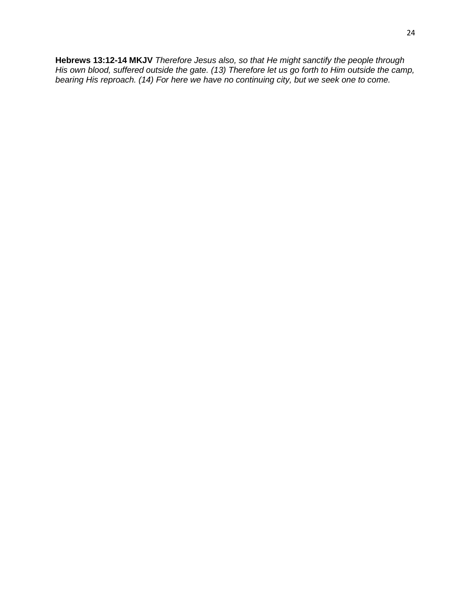**Hebrews 13:12-14 MKJV** *Therefore Jesus also, so that He might sanctify the people through His own blood, suffered outside the gate. (13) Therefore let us go forth to Him outside the camp, bearing His reproach. (14) For here we have no continuing city, but we seek one to come.*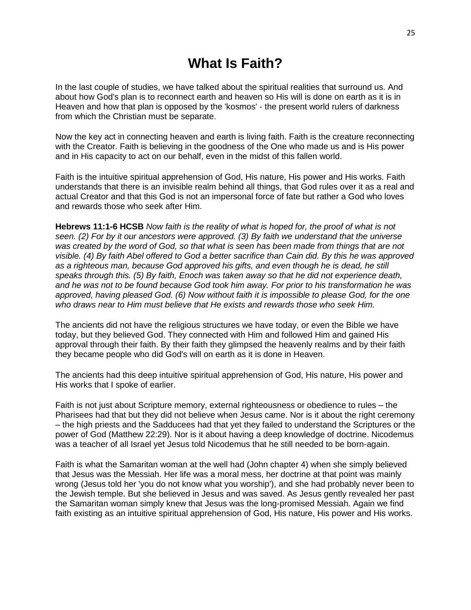## **What Is Faith?**

In the last couple of studies, we have talked about the spiritual realities that surround us. And about how God's plan is to reconnect earth and heaven so His will is done on earth as it is in Heaven and how that plan is opposed by the 'kosmos' - the present world rulers of darkness from which the Christian must be separate.

Now the key act in connecting heaven and earth is living faith. Faith is the creature reconnecting with the Creator. Faith is believing in the goodness of the One who made us and is His power and in His capacity to act on our behalf, even in the midst of this fallen world.

Faith is the intuitive spiritual apprehension of God, His nature, His power and His works. Faith understands that there is an invisible realm behind all things, that God rules over it as a real and actual Creator and that this God is not an impersonal force of fate but rather a God who loves and rewards those who seek after Him.

**Hebrews 11:1-6 HCSB** *Now faith is the reality of what is hoped for, the proof of what is not seen. (2) For by it our ancestors were approved. (3) By faith we understand that the universe was created by the word of God, so that what is seen has been made from things that are not visible. (4) By faith Abel offered to God a better sacrifice than Cain did. By this he was approved*  as a righteous man, because God approved his gifts, and even though he is dead, he still *speaks through this. (5) By faith, Enoch was taken away so that he did not experience death, and he was not to be found because God took him away. For prior to his transformation he was approved, having pleased God. (6) Now without faith it is impossible to please God, for the one who draws near to Him must believe that He exists and rewards those who seek Him.*

The ancients did not have the religious structures we have today, or even the Bible we have today, but they believed God. They connected with Him and followed Him and gained His approval through their faith. By their faith they glimpsed the heavenly realms and by their faith they became people who did God's will on earth as it is done in Heaven.

The ancients had this deep intuitive spiritual apprehension of God, His nature, His power and His works that I spoke of earlier.

Faith is not just about Scripture memory, external righteousness or obedience to rules – the Pharisees had that but they did not believe when Jesus came. Nor is it about the right ceremony – the high priests and the Sadducees had that yet they failed to understand the Scriptures or the power of God (Matthew 22:29). Nor is it about having a deep knowledge of doctrine. Nicodemus was a teacher of all Israel yet Jesus told Nicodemus that he still needed to be born-again.

Faith is what the Samaritan woman at the well had (John chapter 4) when she simply believed that Jesus was the Messiah. Her life was a moral mess, her doctrine at that point was mainly wrong (Jesus told her 'you do not know what you worship'), and she had probably never been to the Jewish temple. But she believed in Jesus and was saved. As Jesus gently revealed her past the Samaritan woman simply knew that Jesus was the long-promised Messiah. Again we find faith existing as an intuitive spiritual apprehension of God, His nature, His power and His works.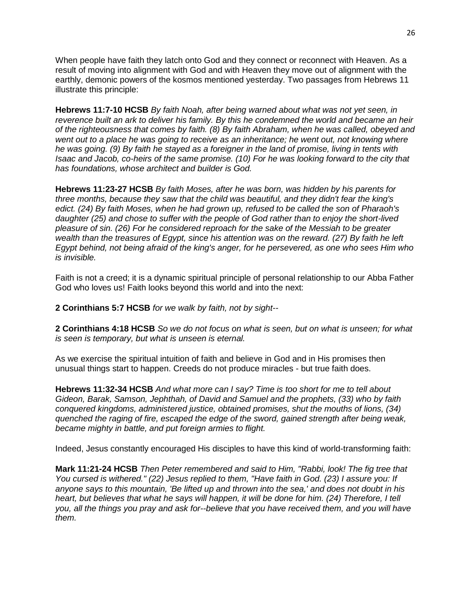When people have faith they latch onto God and they connect or reconnect with Heaven. As a result of moving into alignment with God and with Heaven they move out of alignment with the earthly, demonic powers of the kosmos mentioned yesterday. Two passages from Hebrews 11 illustrate this principle:

**Hebrews 11:7-10 HCSB** *By faith Noah, after being warned about what was not yet seen, in reverence built an ark to deliver his family. By this he condemned the world and became an heir of the righteousness that comes by faith. (8) By faith Abraham, when he was called, obeyed and went out to a place he was going to receive as an inheritance; he went out, not knowing where he was going. (9) By faith he stayed as a foreigner in the land of promise, living in tents with Isaac and Jacob, co-heirs of the same promise. (10) For he was looking forward to the city that has foundations, whose architect and builder is God.*

**Hebrews 11:23-27 HCSB** *By faith Moses, after he was born, was hidden by his parents for three months, because they saw that the child was beautiful, and they didn't fear the king's edict. (24) By faith Moses, when he had grown up, refused to be called the son of Pharaoh's daughter (25) and chose to suffer with the people of God rather than to enjoy the short-lived pleasure of sin. (26) For he considered reproach for the sake of the Messiah to be greater wealth than the treasures of Egypt, since his attention was on the reward. (27) By faith he left Egypt behind, not being afraid of the king's anger, for he persevered, as one who sees Him who is invisible.*

Faith is not a creed; it is a dynamic spiritual principle of personal relationship to our Abba Father God who loves us! Faith looks beyond this world and into the next:

**2 Corinthians 5:7 HCSB** *for we walk by faith, not by sight--*

**2 Corinthians 4:18 HCSB** *So we do not focus on what is seen, but on what is unseen; for what is seen is temporary, but what is unseen is eternal.*

As we exercise the spiritual intuition of faith and believe in God and in His promises then unusual things start to happen. Creeds do not produce miracles - but true faith does.

**Hebrews 11:32-34 HCSB** *And what more can I say? Time is too short for me to tell about Gideon, Barak, Samson, Jephthah, of David and Samuel and the prophets, (33) who by faith conquered kingdoms, administered justice, obtained promises, shut the mouths of lions, (34) quenched the raging of fire, escaped the edge of the sword, gained strength after being weak, became mighty in battle, and put foreign armies to flight.*

Indeed, Jesus constantly encouraged His disciples to have this kind of world-transforming faith:

**Mark 11:21-24 HCSB** *Then Peter remembered and said to Him, "Rabbi, look! The fig tree that You cursed is withered." (22) Jesus replied to them, "Have faith in God. (23) I assure you: If anyone says to this mountain, 'Be lifted up and thrown into the sea,' and does not doubt in his heart, but believes that what he says will happen, it will be done for him. (24) Therefore, I tell you, all the things you pray and ask for--believe that you have received them, and you will have them.*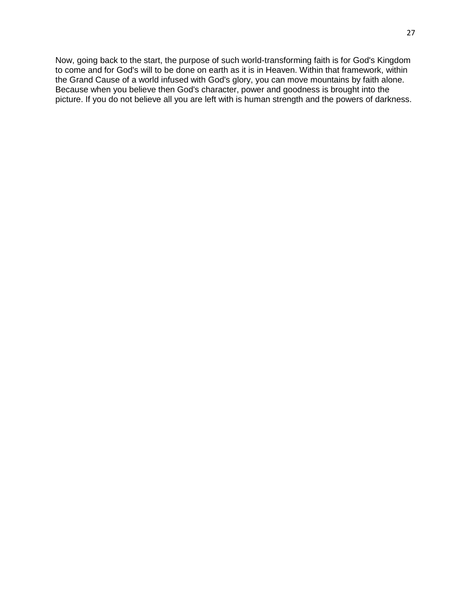Now, going back to the start, the purpose of such world-transforming faith is for God's Kingdom to come and for God's will to be done on earth as it is in Heaven. Within that framework, within the Grand Cause of a world infused with God's glory, you can move mountains by faith alone. Because when you believe then God's character, power and goodness is brought into the picture. If you do not believe all you are left with is human strength and the powers of darkness.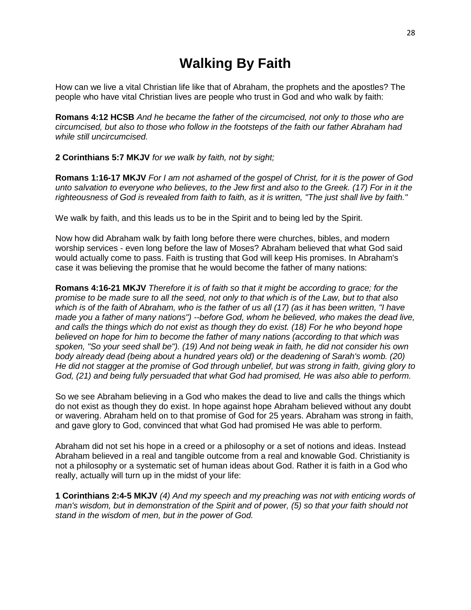# **Walking By Faith**

How can we live a vital Christian life like that of Abraham, the prophets and the apostles? The people who have vital Christian lives are people who trust in God and who walk by faith:

**Romans 4:12 HCSB** *And he became the father of the circumcised, not only to those who are circumcised, but also to those who follow in the footsteps of the faith our father Abraham had while still uncircumcised.*

**2 Corinthians 5:7 MKJV** *for we walk by faith, not by sight;*

**Romans 1:16-17 MKJV** *For I am not ashamed of the gospel of Christ, for it is the power of God unto salvation to everyone who believes, to the Jew first and also to the Greek. (17) For in it the righteousness of God is revealed from faith to faith, as it is written, "The just shall live by faith."*

We walk by faith, and this leads us to be in the Spirit and to being led by the Spirit.

Now how did Abraham walk by faith long before there were churches, bibles, and modern worship services - even long before the law of Moses? Abraham believed that what God said would actually come to pass. Faith is trusting that God will keep His promises. In Abraham's case it was believing the promise that he would become the father of many nations:

**Romans 4:16-21 MKJV** *Therefore it is of faith so that it might be according to grace; for the promise to be made sure to all the seed, not only to that which is of the Law, but to that also which is of the faith of Abraham, who is the father of us all (17) (as it has been written, "I have made you a father of many nations") --before God, whom he believed, who makes the dead live, and calls the things which do not exist as though they do exist. (18) For he who beyond hope believed on hope for him to become the father of many nations (according to that which was spoken, "So your seed shall be"). (19) And not being weak in faith, he did not consider his own body already dead (being about a hundred years old) or the deadening of Sarah's womb. (20) He did not stagger at the promise of God through unbelief, but was strong in faith, giving glory to God, (21) and being fully persuaded that what God had promised, He was also able to perform.*

So we see Abraham believing in a God who makes the dead to live and calls the things which do not exist as though they do exist. In hope against hope Abraham believed without any doubt or wavering. Abraham held on to that promise of God for 25 years. Abraham was strong in faith, and gave glory to God, convinced that what God had promised He was able to perform.

Abraham did not set his hope in a creed or a philosophy or a set of notions and ideas. Instead Abraham believed in a real and tangible outcome from a real and knowable God. Christianity is not a philosophy or a systematic set of human ideas about God. Rather it is faith in a God who really, actually will turn up in the midst of your life:

**1 Corinthians 2:4-5 MKJV** *(4) And my speech and my preaching was not with enticing words of man's wisdom, but in demonstration of the Spirit and of power, (5) so that your faith should not stand in the wisdom of men, but in the power of God.*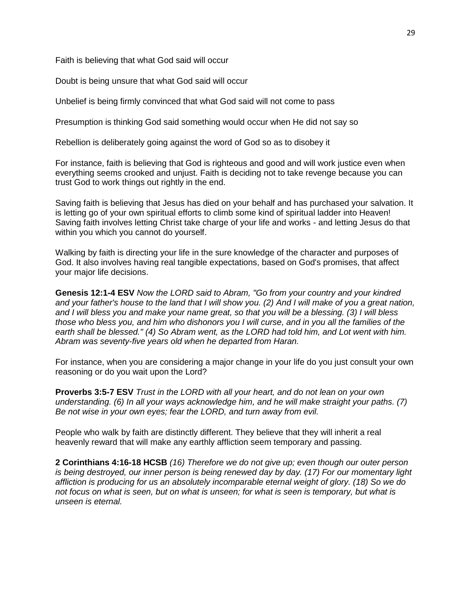Faith is believing that what God said will occur

Doubt is being unsure that what God said will occur

Unbelief is being firmly convinced that what God said will not come to pass

Presumption is thinking God said something would occur when He did not say so

Rebellion is deliberately going against the word of God so as to disobey it

For instance, faith is believing that God is righteous and good and will work justice even when everything seems crooked and unjust. Faith is deciding not to take revenge because you can trust God to work things out rightly in the end.

Saving faith is believing that Jesus has died on your behalf and has purchased your salvation. It is letting go of your own spiritual efforts to climb some kind of spiritual ladder into Heaven! Saving faith involves letting Christ take charge of your life and works - and letting Jesus do that within you which you cannot do yourself.

Walking by faith is directing your life in the sure knowledge of the character and purposes of God. It also involves having real tangible expectations, based on God's promises, that affect your major life decisions.

**Genesis 12:1-4 ESV** *Now the LORD said to Abram, "Go from your country and your kindred and your father's house to the land that I will show you. (2) And I will make of you a great nation, and I will bless you and make your name great, so that you will be a blessing. (3) I will bless those who bless you, and him who dishonors you I will curse, and in you all the families of the earth shall be blessed." (4) So Abram went, as the LORD had told him, and Lot went with him. Abram was seventy-five years old when he departed from Haran.*

For instance, when you are considering a major change in your life do you just consult your own reasoning or do you wait upon the Lord?

**Proverbs 3:5-7 ESV** *Trust in the LORD with all your heart, and do not lean on your own understanding. (6) In all your ways acknowledge him, and he will make straight your paths. (7) Be not wise in your own eyes; fear the LORD, and turn away from evil.*

People who walk by faith are distinctly different. They believe that they will inherit a real heavenly reward that will make any earthly affliction seem temporary and passing.

**2 Corinthians 4:16-18 HCSB** *(16) Therefore we do not give up; even though our outer person is being destroyed, our inner person is being renewed day by day. (17) For our momentary light affliction is producing for us an absolutely incomparable eternal weight of glory. (18) So we do not focus on what is seen, but on what is unseen; for what is seen is temporary, but what is unseen is eternal.*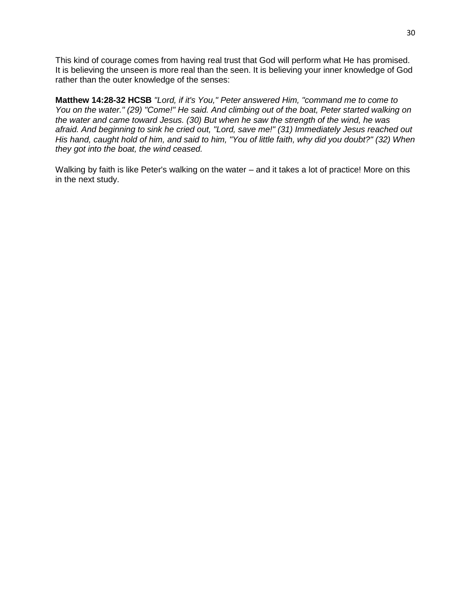This kind of courage comes from having real trust that God will perform what He has promised. It is believing the unseen is more real than the seen. It is believing your inner knowledge of God rather than the outer knowledge of the senses:

**Matthew 14:28-32 HCSB** *"Lord, if it's You," Peter answered Him, "command me to come to You on the water." (29) "Come!" He said. And climbing out of the boat, Peter started walking on the water and came toward Jesus. (30) But when he saw the strength of the wind, he was afraid. And beginning to sink he cried out, "Lord, save me!" (31) Immediately Jesus reached out His hand, caught hold of him, and said to him, "You of little faith, why did you doubt?" (32) When they got into the boat, the wind ceased.*

Walking by faith is like Peter's walking on the water – and it takes a lot of practice! More on this in the next study.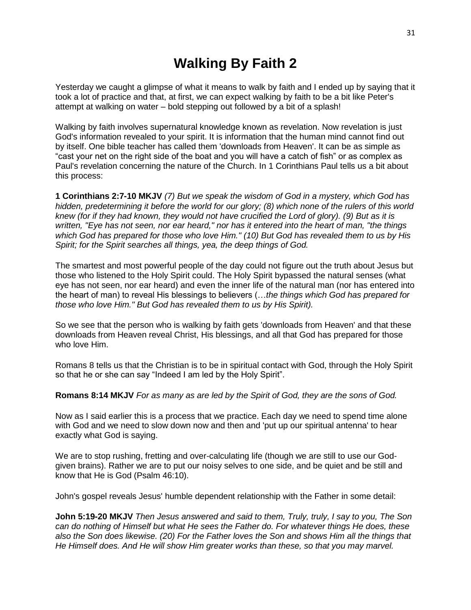# **Walking By Faith 2**

Yesterday we caught a glimpse of what it means to walk by faith and I ended up by saying that it took a lot of practice and that, at first, we can expect walking by faith to be a bit like Peter's attempt at walking on water – bold stepping out followed by a bit of a splash!

Walking by faith involves supernatural knowledge known as revelation. Now revelation is just God's information revealed to your spirit. It is information that the human mind cannot find out by itself. One bible teacher has called them 'downloads from Heaven'. It can be as simple as "cast your net on the right side of the boat and you will have a catch of fish" or as complex as Paul's revelation concerning the nature of the Church. In 1 Corinthians Paul tells us a bit about this process:

**1 Corinthians 2:7-10 MKJV** *(7) But we speak the wisdom of God in a mystery, which God has hidden, predetermining it before the world for our glory; (8) which none of the rulers of this world knew (for if they had known, they would not have crucified the Lord of glory). (9) But as it is written, "Eye has not seen, nor ear heard," nor has it entered into the heart of man, "the things which God has prepared for those who love Him." (10) But God has revealed them to us by His Spirit; for the Spirit searches all things, yea, the deep things of God.*

The smartest and most powerful people of the day could not figure out the truth about Jesus but those who listened to the Holy Spirit could. The Holy Spirit bypassed the natural senses (what eye has not seen, nor ear heard) and even the inner life of the natural man (nor has entered into the heart of man) to reveal His blessings to believers (…*the things which God has prepared for those who love Him." But God has revealed them to us by His Spirit).*

So we see that the person who is walking by faith gets 'downloads from Heaven' and that these downloads from Heaven reveal Christ, His blessings, and all that God has prepared for those who love Him.

Romans 8 tells us that the Christian is to be in spiritual contact with God, through the Holy Spirit so that he or she can say "Indeed I am led by the Holy Spirit".

#### **Romans 8:14 MKJV** *For as many as are led by the Spirit of God, they are the sons of God.*

Now as I said earlier this is a process that we practice. Each day we need to spend time alone with God and we need to slow down now and then and 'put up our spiritual antenna' to hear exactly what God is saying.

We are to stop rushing, fretting and over-calculating life (though we are still to use our Godgiven brains). Rather we are to put our noisy selves to one side, and be quiet and be still and know that He is God (Psalm 46:10).

John's gospel reveals Jesus' humble dependent relationship with the Father in some detail:

**John 5:19-20 MKJV** *Then Jesus answered and said to them, Truly, truly, I say to you, The Son can do nothing of Himself but what He sees the Father do. For whatever things He does, these also the Son does likewise. (20) For the Father loves the Son and shows Him all the things that He Himself does. And He will show Him greater works than these, so that you may marvel.*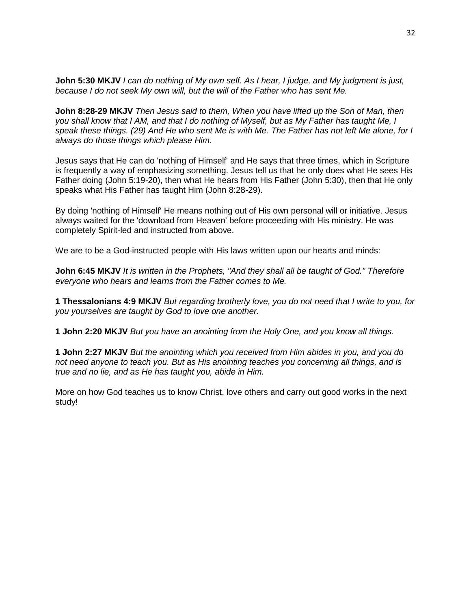**John 5:30 MKJV** *I can do nothing of My own self. As I hear, I judge, and My judgment is just, because I do not seek My own will, but the will of the Father who has sent Me.*

**John 8:28-29 MKJV** *Then Jesus said to them, When you have lifted up the Son of Man, then you shall know that I AM, and that I do nothing of Myself, but as My Father has taught Me, I speak these things. (29) And He who sent Me is with Me. The Father has not left Me alone, for I always do those things which please Him.*

Jesus says that He can do 'nothing of Himself' and He says that three times, which in Scripture is frequently a way of emphasizing something. Jesus tell us that he only does what He sees His Father doing (John 5:19-20), then what He hears from His Father (John 5:30), then that He only speaks what His Father has taught Him (John 8:28-29).

By doing 'nothing of Himself' He means nothing out of His own personal will or initiative. Jesus always waited for the 'download from Heaven' before proceeding with His ministry. He was completely Spirit-led and instructed from above.

We are to be a God-instructed people with His laws written upon our hearts and minds:

**John 6:45 MKJV** *It is written in the Prophets, "And they shall all be taught of God." Therefore everyone who hears and learns from the Father comes to Me.*

**1 Thessalonians 4:9 MKJV** *But regarding brotherly love, you do not need that I write to you, for you yourselves are taught by God to love one another.*

**1 John 2:20 MKJV** *But you have an anointing from the Holy One, and you know all things.*

**1 John 2:27 MKJV** *But the anointing which you received from Him abides in you, and you do not need anyone to teach you. But as His anointing teaches you concerning all things, and is true and no lie, and as He has taught you, abide in Him.*

More on how God teaches us to know Christ, love others and carry out good works in the next study!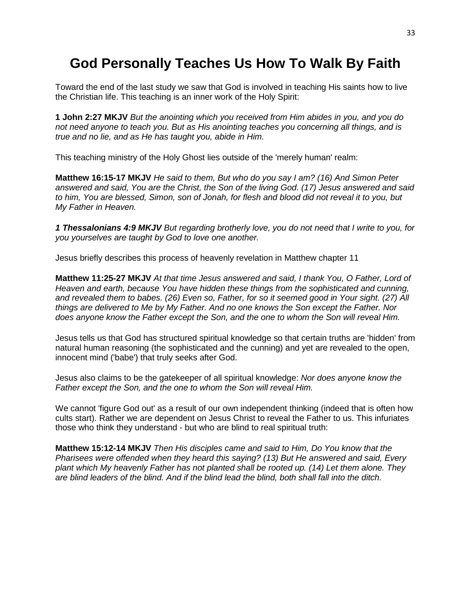# **God Personally Teaches Us How To Walk By Faith**

Toward the end of the last study we saw that God is involved in teaching His saints how to live the Christian life. This teaching is an inner work of the Holy Spirit:

**1 John 2:27 MKJV** *But the anointing which you received from Him abides in you, and you do not need anyone to teach you. But as His anointing teaches you concerning all things, and is true and no lie, and as He has taught you, abide in Him.*

This teaching ministry of the Holy Ghost lies outside of the 'merely human' realm:

**Matthew 16:15-17 MKJV** *He said to them, But who do you say I am? (16) And Simon Peter answered and said, You are the Christ, the Son of the living God. (17) Jesus answered and said to him, You are blessed, Simon, son of Jonah, for flesh and blood did not reveal it to you, but My Father in Heaven.*

*1 Thessalonians 4:9 MKJV But regarding brotherly love, you do not need that I write to you, for you yourselves are taught by God to love one another.*

Jesus briefly describes this process of heavenly revelation in Matthew chapter 11

**Matthew 11:25-27 MKJV** *At that time Jesus answered and said, I thank You, O Father, Lord of Heaven and earth, because You have hidden these things from the sophisticated and cunning, and revealed them to babes. (26) Even so, Father, for so it seemed good in Your sight. (27) All things are delivered to Me by My Father. And no one knows the Son except the Father. Nor does anyone know the Father except the Son, and the one to whom the Son will reveal Him.*

Jesus tells us that God has structured spiritual knowledge so that certain truths are 'hidden' from natural human reasoning (the sophisticated and the cunning) and yet are revealed to the open, innocent mind ('babe') that truly seeks after God.

Jesus also claims to be the gatekeeper of all spiritual knowledge: *Nor does anyone know the Father except the Son, and the one to whom the Son will reveal Him.*

We cannot 'figure God out' as a result of our own independent thinking (indeed that is often how cults start). Rather we are dependent on Jesus Christ to reveal the Father to us. This infuriates those who think they understand - but who are blind to real spiritual truth:

**Matthew 15:12-14 MKJV** *Then His disciples came and said to Him, Do You know that the Pharisees were offended when they heard this saying? (13) But He answered and said, Every plant which My heavenly Father has not planted shall be rooted up. (14) Let them alone. They are blind leaders of the blind. And if the blind lead the blind, both shall fall into the ditch.*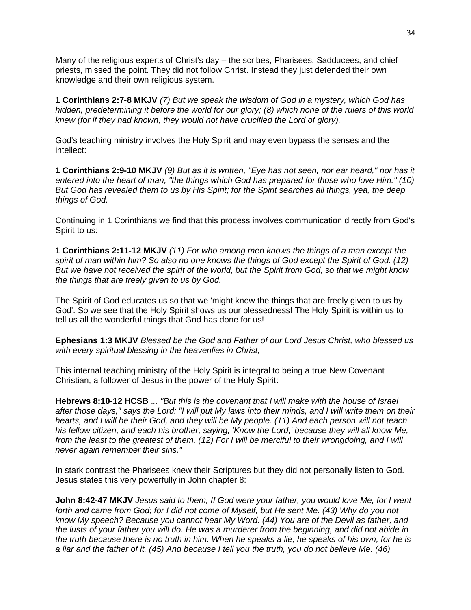Many of the religious experts of Christ's day – the scribes, Pharisees, Sadducees, and chief priests, missed the point. They did not follow Christ. Instead they just defended their own knowledge and their own religious system.

**1 Corinthians 2:7-8 MKJV** *(7) But we speak the wisdom of God in a mystery, which God has hidden, predetermining it before the world for our glory; (8) which none of the rulers of this world knew (for if they had known, they would not have crucified the Lord of glory).*

God's teaching ministry involves the Holy Spirit and may even bypass the senses and the intellect:

**1 Corinthians 2:9-10 MKJV** *(9) But as it is written, "Eye has not seen, nor ear heard," nor has it entered into the heart of man, "the things which God has prepared for those who love Him." (10) But God has revealed them to us by His Spirit; for the Spirit searches all things, yea, the deep things of God.*

Continuing in 1 Corinthians we find that this process involves communication directly from God's Spirit to us:

**1 Corinthians 2:11-12 MKJV** *(11) For who among men knows the things of a man except the spirit of man within him? So also no one knows the things of God except the Spirit of God. (12) But we have not received the spirit of the world, but the Spirit from God, so that we might know the things that are freely given to us by God.*

The Spirit of God educates us so that we 'might know the things that are freely given to us by God'. So we see that the Holy Spirit shows us our blessedness! The Holy Spirit is within us to tell us all the wonderful things that God has done for us!

**Ephesians 1:3 MKJV** *Blessed be the God and Father of our Lord Jesus Christ, who blessed us with every spiritual blessing in the heavenlies in Christ;*

This internal teaching ministry of the Holy Spirit is integral to being a true New Covenant Christian, a follower of Jesus in the power of the Holy Spirit:

**Hebrews 8:10-12 HCSB** .*.. "But this is the covenant that I will make with the house of Israel after those days," says the Lord: "I will put My laws into their minds, and I will write them on their hearts, and I will be their God, and they will be My people. (11) And each person will not teach his fellow citizen, and each his brother, saying, 'Know the Lord,' because they will all know Me, from the least to the greatest of them. (12) For I will be merciful to their wrongdoing, and I will never again remember their sins."*

In stark contrast the Pharisees knew their Scriptures but they did not personally listen to God. Jesus states this very powerfully in John chapter 8:

**John 8:42-47 MKJV** *Jesus said to them, If God were your father, you would love Me, for I went forth and came from God; for I did not come of Myself, but He sent Me. (43) Why do you not know My speech? Because you cannot hear My Word. (44) You are of the Devil as father, and the lusts of your father you will do. He was a murderer from the beginning, and did not abide in the truth because there is no truth in him. When he speaks a lie, he speaks of his own, for he is a liar and the father of it. (45) And because I tell you the truth, you do not believe Me. (46)*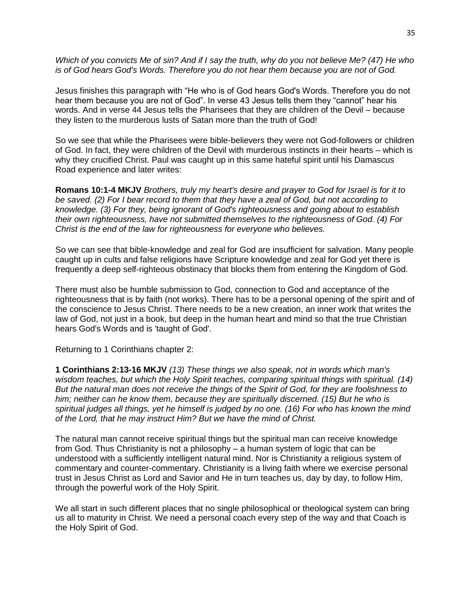*Which of you convicts Me of sin? And if I say the truth, why do you not believe Me? (47) He who is of God hears God's Words. Therefore you do not hear them because you are not of God.*

Jesus finishes this paragraph with "He who is of God hears God's Words. Therefore you do not hear them because you are not of God". In verse 43 Jesus tells them they "cannot" hear his words. And in verse 44 Jesus tells the Pharisees that they are children of the Devil – because they listen to the murderous lusts of Satan more than the truth of God!

So we see that while the Pharisees were bible-believers they were not God-followers or children of God. In fact, they were children of the Devil with murderous instincts in their hearts – which is why they crucified Christ. Paul was caught up in this same hateful spirit until his Damascus Road experience and later writes:

**Romans 10:1-4 MKJV** *Brothers, truly my heart's desire and prayer to God for Israel is for it to be saved. (2) For I bear record to them that they have a zeal of God, but not according to knowledge. (3) For they, being ignorant of God's righteousness and going about to establish their own righteousness, have not submitted themselves to the righteousness of God. (4) For Christ is the end of the law for righteousness for everyone who believes.*

So we can see that bible-knowledge and zeal for God are insufficient for salvation. Many people caught up in cults and false religions have Scripture knowledge and zeal for God yet there is frequently a deep self-righteous obstinacy that blocks them from entering the Kingdom of God.

There must also be humble submission to God, connection to God and acceptance of the righteousness that is by faith (not works). There has to be a personal opening of the spirit and of the conscience to Jesus Christ. There needs to be a new creation, an inner work that writes the law of God, not just in a book, but deep in the human heart and mind so that the true Christian hears God's Words and is 'taught of God'.

Returning to 1 Corinthians chapter 2:

**1 Corinthians 2:13-16 MKJV** *(13) These things we also speak, not in words which man's wisdom teaches, but which the Holy Spirit teaches, comparing spiritual things with spiritual. (14) But the natural man does not receive the things of the Spirit of God, for they are foolishness to him; neither can he know them, because they are spiritually discerned. (15) But he who is spiritual judges all things, yet he himself is judged by no one. (16) For who has known the mind of the Lord, that he may instruct Him? But we have the mind of Christ.*

The natural man cannot receive spiritual things but the spiritual man can receive knowledge from God. Thus Christianity is not a philosophy – a human system of logic that can be understood with a sufficiently intelligent natural mind. Nor is Christianity a religious system of commentary and counter-commentary. Christianity is a living faith where we exercise personal trust in Jesus Christ as Lord and Savior and He in turn teaches us, day by day, to follow Him, through the powerful work of the Holy Spirit.

We all start in such different places that no single philosophical or theological system can bring us all to maturity in Christ. We need a personal coach every step of the way and that Coach is the Holy Spirit of God.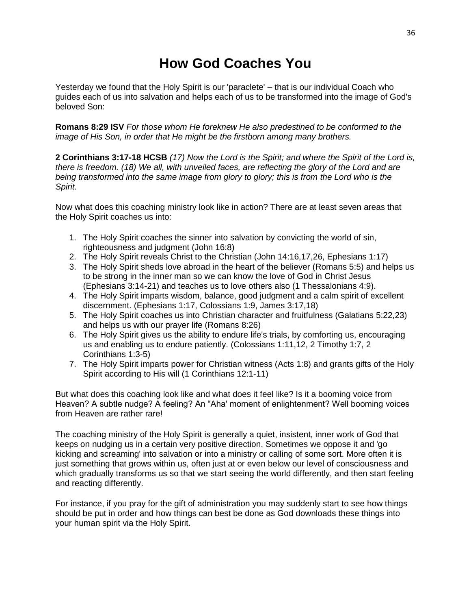# **How God Coaches You**

Yesterday we found that the Holy Spirit is our 'paraclete' – that is our individual Coach who guides each of us into salvation and helps each of us to be transformed into the image of God's beloved Son:

**Romans 8:29 ISV** *For those whom He foreknew He also predestined to be conformed to the image of His Son, in order that He might be the firstborn among many brothers.*

**2 Corinthians 3:17-18 HCSB** *(17) Now the Lord is the Spirit; and where the Spirit of the Lord is, there is freedom. (18) We all, with unveiled faces, are reflecting the glory of the Lord and are being transformed into the same image from glory to glory; this is from the Lord who is the Spirit.*

Now what does this coaching ministry look like in action? There are at least seven areas that the Holy Spirit coaches us into:

- 1. The Holy Spirit coaches the sinner into salvation by convicting the world of sin, righteousness and judgment (John 16:8)
- 2. The Holy Spirit reveals Christ to the Christian (John 14:16,17,26, Ephesians 1:17)
- 3. The Holy Spirit sheds love abroad in the heart of the believer (Romans 5:5) and helps us to be strong in the inner man so we can know the love of God in Christ Jesus (Ephesians 3:14-21) and teaches us to love others also (1 Thessalonians 4:9).
- 4. The Holy Spirit imparts wisdom, balance, good judgment and a calm spirit of excellent discernment. (Ephesians 1:17, Colossians 1:9, James 3:17,18)
- 5. The Holy Spirit coaches us into Christian character and fruitfulness (Galatians 5:22,23) and helps us with our prayer life (Romans 8:26)
- 6. The Holy Spirit gives us the ability to endure life's trials, by comforting us, encouraging us and enabling us to endure patiently. (Colossians 1:11,12, 2 Timothy 1:7, 2 Corinthians 1:3-5)
- 7. The Holy Spirit imparts power for Christian witness (Acts 1:8) and grants gifts of the Holy Spirit according to His will (1 Corinthians 12:1-11)

But what does this coaching look like and what does it feel like? Is it a booming voice from Heaven? A subtle nudge? A feeling? An "Aha' moment of enlightenment? Well booming voices from Heaven are rather rare!

The coaching ministry of the Holy Spirit is generally a quiet, insistent, inner work of God that keeps on nudging us in a certain very positive direction. Sometimes we oppose it and 'go kicking and screaming' into salvation or into a ministry or calling of some sort. More often it is just something that grows within us, often just at or even below our level of consciousness and which gradually transforms us so that we start seeing the world differently, and then start feeling and reacting differently.

For instance, if you pray for the gift of administration you may suddenly start to see how things should be put in order and how things can best be done as God downloads these things into your human spirit via the Holy Spirit.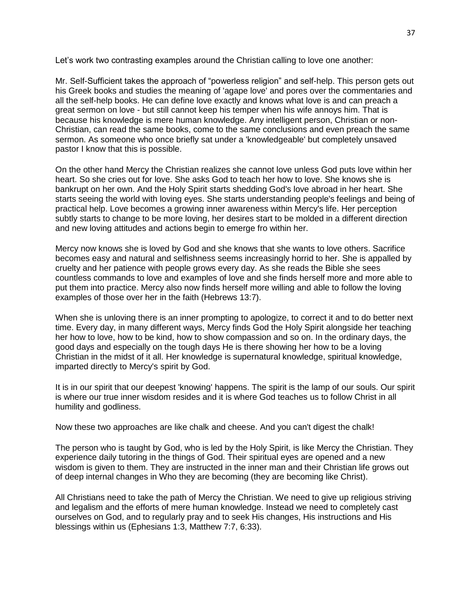Let's work two contrasting examples around the Christian calling to love one another:

Mr. Self-Sufficient takes the approach of "powerless religion" and self-help. This person gets out his Greek books and studies the meaning of 'agape love' and pores over the commentaries and all the self-help books. He can define love exactly and knows what love is and can preach a great sermon on love - but still cannot keep his temper when his wife annoys him. That is because his knowledge is mere human knowledge. Any intelligent person, Christian or non-Christian, can read the same books, come to the same conclusions and even preach the same sermon. As someone who once briefly sat under a 'knowledgeable' but completely unsaved pastor I know that this is possible.

On the other hand Mercy the Christian realizes she cannot love unless God puts love within her heart. So she cries out for love. She asks God to teach her how to love. She knows she is bankrupt on her own. And the Holy Spirit starts shedding God's love abroad in her heart. She starts seeing the world with loving eyes. She starts understanding people's feelings and being of practical help. Love becomes a growing inner awareness within Mercy's life. Her perception subtly starts to change to be more loving, her desires start to be molded in a different direction and new loving attitudes and actions begin to emerge fro within her.

Mercy now knows she is loved by God and she knows that she wants to love others. Sacrifice becomes easy and natural and selfishness seems increasingly horrid to her. She is appalled by cruelty and her patience with people grows every day. As she reads the Bible she sees countless commands to love and examples of love and she finds herself more and more able to put them into practice. Mercy also now finds herself more willing and able to follow the loving examples of those over her in the faith (Hebrews 13:7).

When she is unloving there is an inner prompting to apologize, to correct it and to do better next time. Every day, in many different ways, Mercy finds God the Holy Spirit alongside her teaching her how to love, how to be kind, how to show compassion and so on. In the ordinary days, the good days and especially on the tough days He is there showing her how to be a loving Christian in the midst of it all. Her knowledge is supernatural knowledge, spiritual knowledge, imparted directly to Mercy's spirit by God.

It is in our spirit that our deepest 'knowing' happens. The spirit is the lamp of our souls. Our spirit is where our true inner wisdom resides and it is where God teaches us to follow Christ in all humility and godliness.

Now these two approaches are like chalk and cheese. And you can't digest the chalk!

The person who is taught by God, who is led by the Holy Spirit, is like Mercy the Christian. They experience daily tutoring in the things of God. Their spiritual eyes are opened and a new wisdom is given to them. They are instructed in the inner man and their Christian life grows out of deep internal changes in Who they are becoming (they are becoming like Christ).

All Christians need to take the path of Mercy the Christian. We need to give up religious striving and legalism and the efforts of mere human knowledge. Instead we need to completely cast ourselves on God, and to regularly pray and to seek His changes, His instructions and His blessings within us (Ephesians 1:3, Matthew 7:7, 6:33).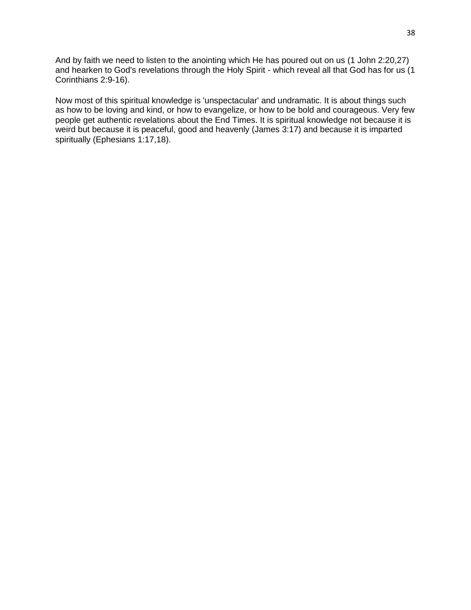And by faith we need to listen to the anointing which He has poured out on us (1 John 2:20,27) and hearken to God's revelations through the Holy Spirit - which reveal all that God has for us (1 Corinthians 2:9-16).

Now most of this spiritual knowledge is 'unspectacular' and undramatic. It is about things such as how to be loving and kind, or how to evangelize, or how to be bold and courageous. Very few people get authentic revelations about the End Times. It is spiritual knowledge not because it is weird but because it is peaceful, good and heavenly (James 3:17) and because it is imparted spiritually (Ephesians 1:17,18).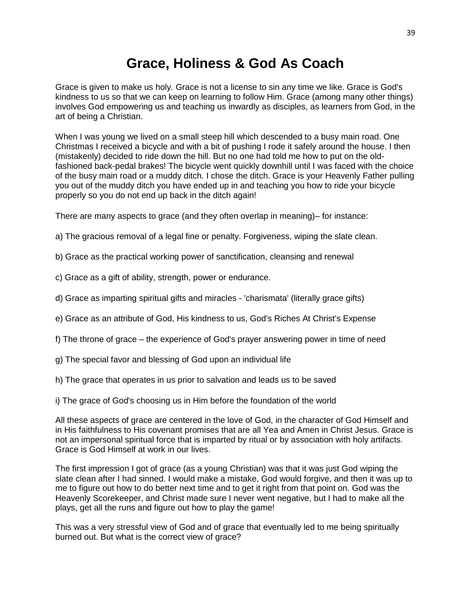# **Grace, Holiness & God As Coach**

Grace is given to make us holy. Grace is not a license to sin any time we like. Grace is God's kindness to us so that we can keep on learning to follow Him. Grace (among many other things) involves God empowering us and teaching us inwardly as disciples, as learners from God, in the art of being a Christian.

When I was young we lived on a small steep hill which descended to a busy main road. One Christmas I received a bicycle and with a bit of pushing I rode it safely around the house. I then (mistakenly) decided to ride down the hill. But no one had told me how to put on the oldfashioned back-pedal brakes! The bicycle went quickly downhill until I was faced with the choice of the busy main road or a muddy ditch. I chose the ditch. Grace is your Heavenly Father pulling you out of the muddy ditch you have ended up in and teaching you how to ride your bicycle properly so you do not end up back in the ditch again!

There are many aspects to grace (and they often overlap in meaning)– for instance:

- a) The gracious removal of a legal fine or penalty. Forgiveness, wiping the slate clean.
- b) Grace as the practical working power of sanctification, cleansing and renewal
- c) Grace as a gift of ability, strength, power or endurance.
- d) Grace as imparting spiritual gifts and miracles 'charismata' (literally grace gifts)
- e) Grace as an attribute of God, His kindness to us, God's Riches At Christ's Expense
- f) The throne of grace the experience of God's prayer answering power in time of need
- g) The special favor and blessing of God upon an individual life
- h) The grace that operates in us prior to salvation and leads us to be saved
- i) The grace of God's choosing us in Him before the foundation of the world

All these aspects of grace are centered in the love of God, in the character of God Himself and in His faithfulness to His covenant promises that are all Yea and Amen in Christ Jesus. Grace is not an impersonal spiritual force that is imparted by ritual or by association with holy artifacts. Grace is God Himself at work in our lives.

The first impression I got of grace (as a young Christian) was that it was just God wiping the slate clean after I had sinned. I would make a mistake, God would forgive, and then it was up to me to figure out how to do better next time and to get it right from that point on. God was the Heavenly Scorekeeper, and Christ made sure I never went negative, but I had to make all the plays, get all the runs and figure out how to play the game!

This was a very stressful view of God and of grace that eventually led to me being spiritually burned out. But what is the correct view of grace?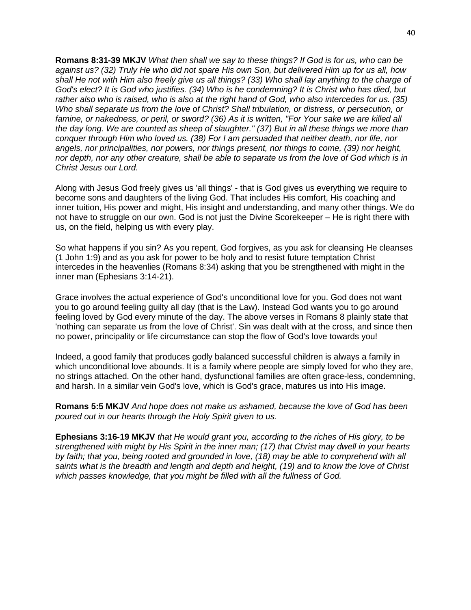**Romans 8:31-39 MKJV** *What then shall we say to these things? If God is for us, who can be against us? (32) Truly He who did not spare His own Son, but delivered Him up for us all, how shall He not with Him also freely give us all things? (33) Who shall lay anything to the charge of God's elect? It is God who justifies. (34) Who is he condemning? It is Christ who has died, but rather also who is raised, who is also at the right hand of God, who also intercedes for us. (35) Who shall separate us from the love of Christ? Shall tribulation, or distress, or persecution, or famine, or nakedness, or peril, or sword? (36) As it is written, "For Your sake we are killed all the day long. We are counted as sheep of slaughter." (37) But in all these things we more than conquer through Him who loved us. (38) For I am persuaded that neither death, nor life, nor angels, nor principalities, nor powers, nor things present, nor things to come, (39) nor height, nor depth, nor any other creature, shall be able to separate us from the love of God which is in Christ Jesus our Lord.*

Along with Jesus God freely gives us 'all things' - that is God gives us everything we require to become sons and daughters of the living God. That includes His comfort, His coaching and inner tuition, His power and might, His insight and understanding, and many other things. We do not have to struggle on our own. God is not just the Divine Scorekeeper – He is right there with us, on the field, helping us with every play.

So what happens if you sin? As you repent, God forgives, as you ask for cleansing He cleanses (1 John 1:9) and as you ask for power to be holy and to resist future temptation Christ intercedes in the heavenlies (Romans 8:34) asking that you be strengthened with might in the inner man (Ephesians 3:14-21).

Grace involves the actual experience of God's unconditional love for you. God does not want you to go around feeling guilty all day (that is the Law). Instead God wants you to go around feeling loved by God every minute of the day. The above verses in Romans 8 plainly state that 'nothing can separate us from the love of Christ'. Sin was dealt with at the cross, and since then no power, principality or life circumstance can stop the flow of God's love towards you!

Indeed, a good family that produces godly balanced successful children is always a family in which unconditional love abounds. It is a family where people are simply loved for who they are, no strings attached. On the other hand, dysfunctional families are often grace-less, condemning, and harsh. In a similar vein God's love, which is God's grace, matures us into His image.

**Romans 5:5 MKJV** *And hope does not make us ashamed, because the love of God has been poured out in our hearts through the Holy Spirit given to us.*

**Ephesians 3:16-19 MKJV** *that He would grant you, according to the riches of His glory, to be strengthened with might by His Spirit in the inner man; (17) that Christ may dwell in your hearts by faith; that you, being rooted and grounded in love, (18) may be able to comprehend with all saints what is the breadth and length and depth and height, (19) and to know the love of Christ which passes knowledge, that you might be filled with all the fullness of God.*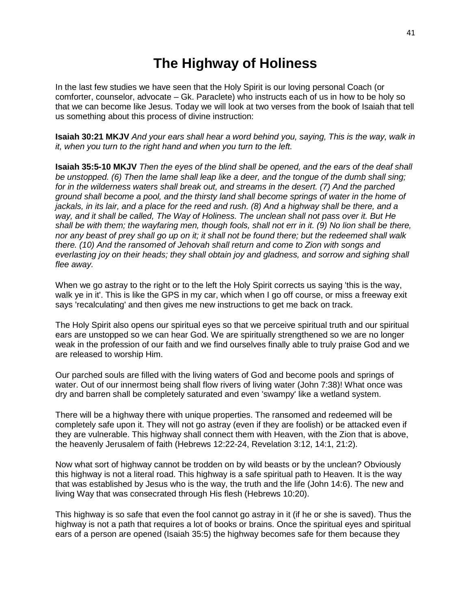## **The Highway of Holiness**

In the last few studies we have seen that the Holy Spirit is our loving personal Coach (or comforter, counselor, advocate – Gk. Paraclete) who instructs each of us in how to be holy so that we can become like Jesus. Today we will look at two verses from the book of Isaiah that tell us something about this process of divine instruction:

**Isaiah 30:21 MKJV** *And your ears shall hear a word behind you, saying, This is the way, walk in it, when you turn to the right hand and when you turn to the left.*

**Isaiah 35:5-10 MKJV** *Then the eyes of the blind shall be opened, and the ears of the deaf shall be unstopped. (6) Then the lame shall leap like a deer, and the tongue of the dumb shall sing; for in the wilderness waters shall break out, and streams in the desert. (7) And the parched ground shall become a pool, and the thirsty land shall become springs of water in the home of jackals, in its lair, and a place for the reed and rush. (8) And a highway shall be there, and a way, and it shall be called, The Way of Holiness. The unclean shall not pass over it. But He shall be with them; the wayfaring men, though fools, shall not err in it. (9) No lion shall be there, nor any beast of prey shall go up on it; it shall not be found there; but the redeemed shall walk there. (10) And the ransomed of Jehovah shall return and come to Zion with songs and everlasting joy on their heads; they shall obtain joy and gladness, and sorrow and sighing shall flee away.*

When we go astray to the right or to the left the Holy Spirit corrects us saying 'this is the way, walk ye in it'. This is like the GPS in my car, which when I go off course, or miss a freeway exit says 'recalculating' and then gives me new instructions to get me back on track.

The Holy Spirit also opens our spiritual eyes so that we perceive spiritual truth and our spiritual ears are unstopped so we can hear God. We are spiritually strengthened so we are no longer weak in the profession of our faith and we find ourselves finally able to truly praise God and we are released to worship Him.

Our parched souls are filled with the living waters of God and become pools and springs of water. Out of our innermost being shall flow rivers of living water (John 7:38)! What once was dry and barren shall be completely saturated and even 'swampy' like a wetland system.

There will be a highway there with unique properties. The ransomed and redeemed will be completely safe upon it. They will not go astray (even if they are foolish) or be attacked even if they are vulnerable. This highway shall connect them with Heaven, with the Zion that is above, the heavenly Jerusalem of faith (Hebrews 12:22-24, Revelation 3:12, 14:1, 21:2).

Now what sort of highway cannot be trodden on by wild beasts or by the unclean? Obviously this highway is not a literal road. This highway is a safe spiritual path to Heaven. It is the way that was established by Jesus who is the way, the truth and the life (John 14:6). The new and living Way that was consecrated through His flesh (Hebrews 10:20).

This highway is so safe that even the fool cannot go astray in it (if he or she is saved). Thus the highway is not a path that requires a lot of books or brains. Once the spiritual eyes and spiritual ears of a person are opened (Isaiah 35:5) the highway becomes safe for them because they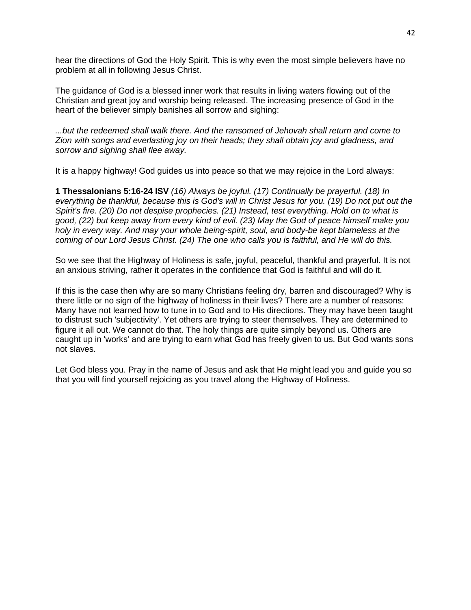hear the directions of God the Holy Spirit. This is why even the most simple believers have no problem at all in following Jesus Christ.

The guidance of God is a blessed inner work that results in living waters flowing out of the Christian and great joy and worship being released. The increasing presence of God in the heart of the believer simply banishes all sorrow and sighing:

*...but the redeemed shall walk there. And the ransomed of Jehovah shall return and come to Zion with songs and everlasting joy on their heads; they shall obtain joy and gladness, and sorrow and sighing shall flee away.*

It is a happy highway! God guides us into peace so that we may rejoice in the Lord always:

**1 Thessalonians 5:16-24 ISV** *(16) Always be joyful. (17) Continually be prayerful. (18) In everything be thankful, because this is God's will in Christ Jesus for you. (19) Do not put out the Spirit's fire. (20) Do not despise prophecies. (21) Instead, test everything. Hold on to what is good, (22) but keep away from every kind of evil. (23) May the God of peace himself make you holy in every way. And may your whole being-spirit, soul, and body-be kept blameless at the coming of our Lord Jesus Christ. (24) The one who calls you is faithful, and He will do this.*

So we see that the Highway of Holiness is safe, joyful, peaceful, thankful and prayerful. It is not an anxious striving, rather it operates in the confidence that God is faithful and will do it.

If this is the case then why are so many Christians feeling dry, barren and discouraged? Why is there little or no sign of the highway of holiness in their lives? There are a number of reasons: Many have not learned how to tune in to God and to His directions. They may have been taught to distrust such 'subjectivity'. Yet others are trying to steer themselves. They are determined to figure it all out. We cannot do that. The holy things are quite simply beyond us. Others are caught up in 'works' and are trying to earn what God has freely given to us. But God wants sons not slaves.

Let God bless you. Pray in the name of Jesus and ask that He might lead you and guide you so that you will find yourself rejoicing as you travel along the Highway of Holiness.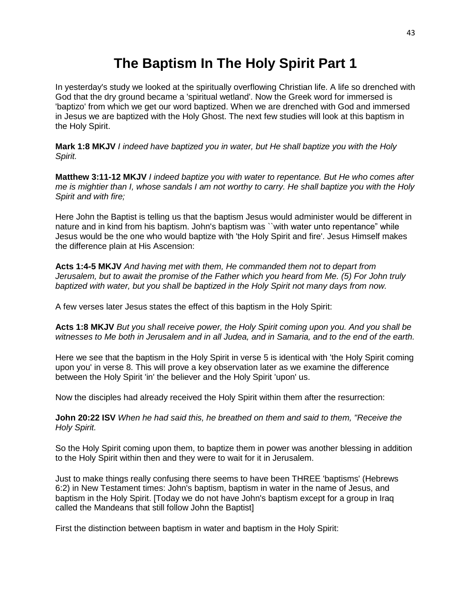# **The Baptism In The Holy Spirit Part 1**

In yesterday's study we looked at the spiritually overflowing Christian life. A life so drenched with God that the dry ground became a 'spiritual wetland'. Now the Greek word for immersed is 'baptizo' from which we get our word baptized. When we are drenched with God and immersed in Jesus we are baptized with the Holy Ghost. The next few studies will look at this baptism in the Holy Spirit.

**Mark 1:8 MKJV** *I indeed have baptized you in water, but He shall baptize you with the Holy Spirit.*

**Matthew 3:11-12 MKJV** *I indeed baptize you with water to repentance. But He who comes after me is mightier than I, whose sandals I am not worthy to carry. He shall baptize you with the Holy Spirit and with fire;* 

Here John the Baptist is telling us that the baptism Jesus would administer would be different in nature and in kind from his baptism. John's baptism was "with water unto repentance" while Jesus would be the one who would baptize with 'the Holy Spirit and fire'. Jesus Himself makes the difference plain at His Ascension:

**Acts 1:4-5 MKJV** *And having met with them, He commanded them not to depart from Jerusalem, but to await the promise of the Father which you heard from Me. (5) For John truly baptized with water, but you shall be baptized in the Holy Spirit not many days from now.*

A few verses later Jesus states the effect of this baptism in the Holy Spirit:

**Acts 1:8 MKJV** *But you shall receive power, the Holy Spirit coming upon you. And you shall be witnesses to Me both in Jerusalem and in all Judea, and in Samaria, and to the end of the earth.*

Here we see that the baptism in the Holy Spirit in verse 5 is identical with 'the Holy Spirit coming upon you' in verse 8. This will prove a key observation later as we examine the difference between the Holy Spirit 'in' the believer and the Holy Spirit 'upon' us.

Now the disciples had already received the Holy Spirit within them after the resurrection:

**John 20:22 ISV** *When he had said this, he breathed on them and said to them, "Receive the Holy Spirit.*

So the Holy Spirit coming upon them, to baptize them in power was another blessing in addition to the Holy Spirit within then and they were to wait for it in Jerusalem.

Just to make things really confusing there seems to have been THREE 'baptisms' (Hebrews 6:2) in New Testament times: John's baptism, baptism in water in the name of Jesus, and baptism in the Holy Spirit. [Today we do not have John's baptism except for a group in Iraq called the Mandeans that still follow John the Baptist]

First the distinction between baptism in water and baptism in the Holy Spirit: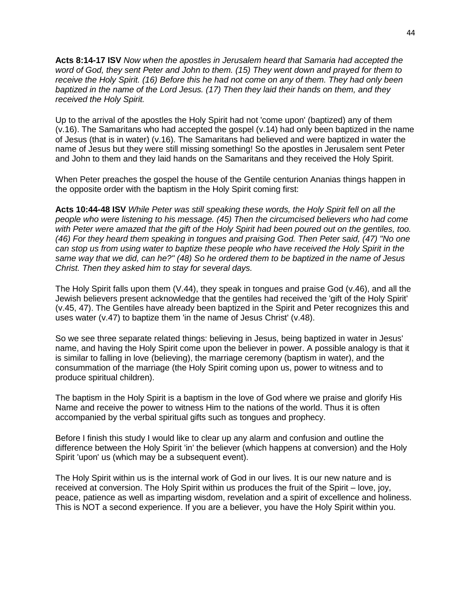**Acts 8:14-17 ISV** *Now when the apostles in Jerusalem heard that Samaria had accepted the word of God, they sent Peter and John to them. (15) They went down and prayed for them to receive the Holy Spirit. (16) Before this he had not come on any of them. They had only been baptized in the name of the Lord Jesus. (17) Then they laid their hands on them, and they received the Holy Spirit.*

Up to the arrival of the apostles the Holy Spirit had not 'come upon' (baptized) any of them (v.16). The Samaritans who had accepted the gospel (v.14) had only been baptized in the name of Jesus (that is in water) (v.16). The Samaritans had believed and were baptized in water the name of Jesus but they were still missing something! So the apostles in Jerusalem sent Peter and John to them and they laid hands on the Samaritans and they received the Holy Spirit.

When Peter preaches the gospel the house of the Gentile centurion Ananias things happen in the opposite order with the baptism in the Holy Spirit coming first:

**Acts 10:44-48 ISV** *While Peter was still speaking these words, the Holy Spirit fell on all the people who were listening to his message. (45) Then the circumcised believers who had come with Peter were amazed that the gift of the Holy Spirit had been poured out on the gentiles, too. (46) For they heard them speaking in tongues and praising God. Then Peter said, (47) "No one can stop us from using water to baptize these people who have received the Holy Spirit in the same way that we did, can he?" (48) So he ordered them to be baptized in the name of Jesus Christ. Then they asked him to stay for several days.*

The Holy Spirit falls upon them (V.44), they speak in tongues and praise God (v.46), and all the Jewish believers present acknowledge that the gentiles had received the 'gift of the Holy Spirit' (v.45, 47). The Gentiles have already been baptized in the Spirit and Peter recognizes this and uses water (v.47) to baptize them 'in the name of Jesus Christ' (v.48).

So we see three separate related things: believing in Jesus, being baptized in water in Jesus' name, and having the Holy Spirit come upon the believer in power. A possible analogy is that it is similar to falling in love (believing), the marriage ceremony (baptism in water), and the consummation of the marriage (the Holy Spirit coming upon us, power to witness and to produce spiritual children).

The baptism in the Holy Spirit is a baptism in the love of God where we praise and glorify His Name and receive the power to witness Him to the nations of the world. Thus it is often accompanied by the verbal spiritual gifts such as tongues and prophecy.

Before I finish this study I would like to clear up any alarm and confusion and outline the difference between the Holy Spirit 'in' the believer (which happens at conversion) and the Holy Spirit 'upon' us (which may be a subsequent event).

The Holy Spirit within us is the internal work of God in our lives. It is our new nature and is received at conversion. The Holy Spirit within us produces the fruit of the Spirit – love, joy, peace, patience as well as imparting wisdom, revelation and a spirit of excellence and holiness. This is NOT a second experience. If you are a believer, you have the Holy Spirit within you.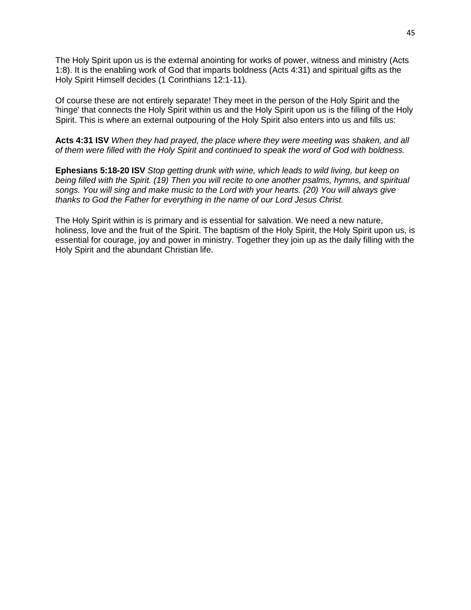The Holy Spirit upon us is the external anointing for works of power, witness and ministry (Acts 1:8). It is the enabling work of God that imparts boldness (Acts 4:31) and spiritual gifts as the Holy Spirit Himself decides (1 Corinthians 12:1-11).

Of course these are not entirely separate! They meet in the person of the Holy Spirit and the 'hinge' that connects the Holy Spirit within us and the Holy Spirit upon us is the filling of the Holy Spirit. This is where an external outpouring of the Holy Spirit also enters into us and fills us:

**Acts 4:31 ISV** *When they had prayed, the place where they were meeting was shaken, and all of them were filled with the Holy Spirit and continued to speak the word of God with boldness.*

**Ephesians 5:18-20 ISV** *Stop getting drunk with wine, which leads to wild living, but keep on being filled with the Spirit. (19) Then you will recite to one another psalms, hymns, and spiritual songs. You will sing and make music to the Lord with your hearts. (20) You will always give thanks to God the Father for everything in the name of our Lord Jesus Christ.*

The Holy Spirit within is is primary and is essential for salvation. We need a new nature, holiness, love and the fruit of the Spirit. The baptism of the Holy Spirit, the Holy Spirit upon us, is essential for courage, joy and power in ministry. Together they join up as the daily filling with the Holy Spirit and the abundant Christian life.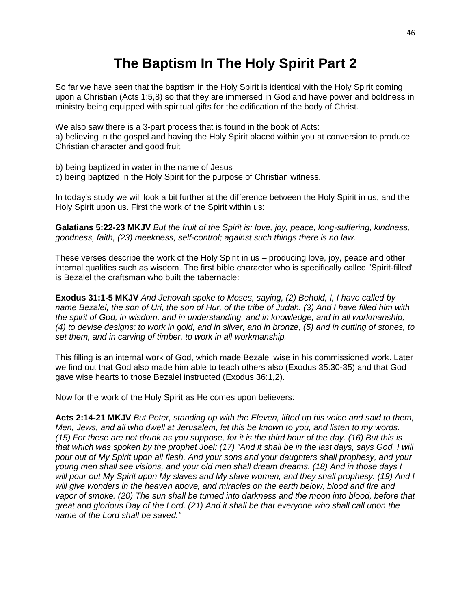# **The Baptism In The Holy Spirit Part 2**

So far we have seen that the baptism in the Holy Spirit is identical with the Holy Spirit coming upon a Christian (Acts 1:5,8) so that they are immersed in God and have power and boldness in ministry being equipped with spiritual gifts for the edification of the body of Christ.

We also saw there is a 3-part process that is found in the book of Acts:

a) believing in the gospel and having the Holy Spirit placed within you at conversion to produce Christian character and good fruit

b) being baptized in water in the name of Jesus

c) being baptized in the Holy Spirit for the purpose of Christian witness.

In today's study we will look a bit further at the difference between the Holy Spirit in us, and the Holy Spirit upon us. First the work of the Spirit within us:

**Galatians 5:22-23 MKJV** *But the fruit of the Spirit is: love, joy, peace, long-suffering, kindness, goodness, faith, (23) meekness, self-control; against such things there is no law.*

These verses describe the work of the Holy Spirit in us – producing love, joy, peace and other internal qualities such as wisdom. The first bible character who is specifically called "Spirit-filled' is Bezalel the craftsman who built the tabernacle:

**Exodus 31:1-5 MKJV** *And Jehovah spoke to Moses, saying, (2) Behold, I, I have called by name Bezalel, the son of Uri, the son of Hur, of the tribe of Judah. (3) And I have filled him with the spirit of God, in wisdom, and in understanding, and in knowledge, and in all workmanship, (4) to devise designs; to work in gold, and in silver, and in bronze, (5) and in cutting of stones, to set them, and in carving of timber, to work in all workmanship.*

This filling is an internal work of God, which made Bezalel wise in his commissioned work. Later we find out that God also made him able to teach others also (Exodus 35:30-35) and that God gave wise hearts to those Bezalel instructed (Exodus 36:1,2).

Now for the work of the Holy Spirit as He comes upon believers:

**Acts 2:14-21 MKJV** *But Peter, standing up with the Eleven, lifted up his voice and said to them, Men, Jews, and all who dwell at Jerusalem, let this be known to you, and listen to my words. (15) For these are not drunk as you suppose, for it is the third hour of the day. (16) But this is that which was spoken by the prophet Joel: (17) "And it shall be in the last days, says God, I will pour out of My Spirit upon all flesh. And your sons and your daughters shall prophesy, and your young men shall see visions, and your old men shall dream dreams. (18) And in those days I will pour out My Spirit upon My slaves and My slave women, and they shall prophesy. (19) And I will give wonders in the heaven above, and miracles on the earth below, blood and fire and vapor of smoke. (20) The sun shall be turned into darkness and the moon into blood, before that great and glorious Day of the Lord. (21) And it shall be that everyone who shall call upon the name of the Lord shall be saved."*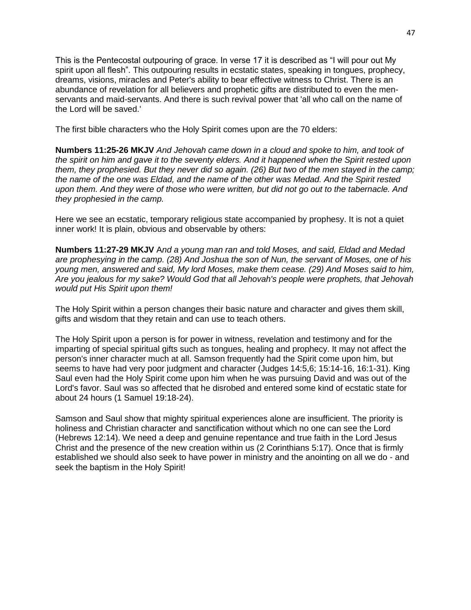This is the Pentecostal outpouring of grace. In verse 17 it is described as "I will pour out My spirit upon all flesh". This outpouring results in ecstatic states, speaking in tongues, prophecy, dreams, visions, miracles and Peter's ability to bear effective witness to Christ. There is an abundance of revelation for all believers and prophetic gifts are distributed to even the menservants and maid-servants. And there is such revival power that 'all who call on the name of the Lord will be saved.'

The first bible characters who the Holy Spirit comes upon are the 70 elders:

**Numbers 11:25-26 MKJV** *And Jehovah came down in a cloud and spoke to him, and took of the spirit on him and gave it to the seventy elders. And it happened when the Spirit rested upon them, they prophesied. But they never did so again. (26) But two of the men stayed in the camp; the name of the one was Eldad, and the name of the other was Medad. And the Spirit rested upon them. And they were of those who were written, but did not go out to the tabernacle. And they prophesied in the camp.*

Here we see an ecstatic, temporary religious state accompanied by prophesy. It is not a quiet inner work! It is plain, obvious and observable by others:

**Numbers 11:27-29 MKJV** A*nd a young man ran and told Moses, and said, Eldad and Medad are prophesying in the camp. (28) And Joshua the son of Nun, the servant of Moses, one of his young men, answered and said, My lord Moses, make them cease. (29) And Moses said to him, Are you jealous for my sake? Would God that all Jehovah's people were prophets, that Jehovah would put His Spirit upon them!*

The Holy Spirit within a person changes their basic nature and character and gives them skill, gifts and wisdom that they retain and can use to teach others.

The Holy Spirit upon a person is for power in witness, revelation and testimony and for the imparting of special spiritual gifts such as tongues, healing and prophecy. It may not affect the person's inner character much at all. Samson frequently had the Spirit come upon him, but seems to have had very poor judgment and character (Judges 14:5,6; 15:14-16, 16:1-31). King Saul even had the Holy Spirit come upon him when he was pursuing David and was out of the Lord's favor. Saul was so affected that he disrobed and entered some kind of ecstatic state for about 24 hours (1 Samuel 19:18-24).

Samson and Saul show that mighty spiritual experiences alone are insufficient. The priority is holiness and Christian character and sanctification without which no one can see the Lord (Hebrews 12:14). We need a deep and genuine repentance and true faith in the Lord Jesus Christ and the presence of the new creation within us (2 Corinthians 5:17). Once that is firmly established we should also seek to have power in ministry and the anointing on all we do - and seek the baptism in the Holy Spirit!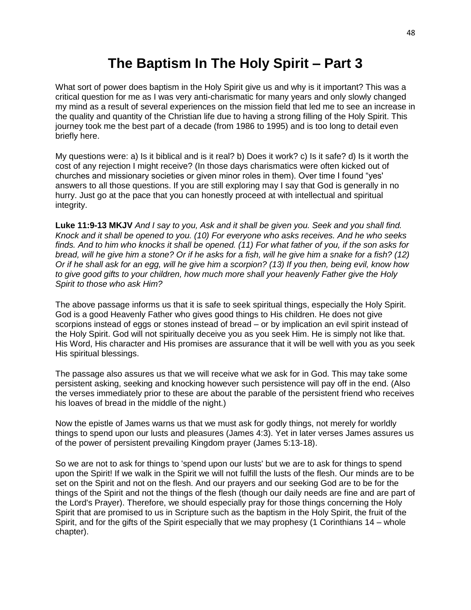## **The Baptism In The Holy Spirit – Part 3**

What sort of power does baptism in the Holy Spirit give us and why is it important? This was a critical question for me as I was very anti-charismatic for many years and only slowly changed my mind as a result of several experiences on the mission field that led me to see an increase in the quality and quantity of the Christian life due to having a strong filling of the Holy Spirit. This journey took me the best part of a decade (from 1986 to 1995) and is too long to detail even briefly here.

My questions were: a) Is it biblical and is it real? b) Does it work? c) Is it safe? d) Is it worth the cost of any rejection I might receive? (In those days charismatics were often kicked out of churches and missionary societies or given minor roles in them). Over time I found "yes' answers to all those questions. If you are still exploring may I say that God is generally in no hurry. Just go at the pace that you can honestly proceed at with intellectual and spiritual integrity.

**Luke 11:9-13 MKJV** *And I say to you, Ask and it shall be given you. Seek and you shall find. Knock and it shall be opened to you. (10) For everyone who asks receives. And he who seeks finds. And to him who knocks it shall be opened. (11) For what father of you, if the son asks for bread, will he give him a stone? Or if he asks for a fish, will he give him a snake for a fish? (12) Or if he shall ask for an egg, will he give him a scorpion? (13) If you then, being evil, know how to give good gifts to your children, how much more shall your heavenly Father give the Holy Spirit to those who ask Him?*

The above passage informs us that it is safe to seek spiritual things, especially the Holy Spirit. God is a good Heavenly Father who gives good things to His children. He does not give scorpions instead of eggs or stones instead of bread – or by implication an evil spirit instead of the Holy Spirit. God will not spiritually deceive you as you seek Him. He is simply not like that. His Word, His character and His promises are assurance that it will be well with you as you seek His spiritual blessings.

The passage also assures us that we will receive what we ask for in God. This may take some persistent asking, seeking and knocking however such persistence will pay off in the end. (Also the verses immediately prior to these are about the parable of the persistent friend who receives his loaves of bread in the middle of the night.)

Now the epistle of James warns us that we must ask for godly things, not merely for worldly things to spend upon our lusts and pleasures (James 4:3). Yet in later verses James assures us of the power of persistent prevailing Kingdom prayer (James 5:13-18).

So we are not to ask for things to 'spend upon our lusts' but we are to ask for things to spend upon the Spirit! If we walk in the Spirit we will not fulfill the lusts of the flesh. Our minds are to be set on the Spirit and not on the flesh. And our prayers and our seeking God are to be for the things of the Spirit and not the things of the flesh (though our daily needs are fine and are part of the Lord's Prayer). Therefore, we should especially pray for those things concerning the Holy Spirit that are promised to us in Scripture such as the baptism in the Holy Spirit, the fruit of the Spirit, and for the gifts of the Spirit especially that we may prophesy (1 Corinthians 14 – whole chapter).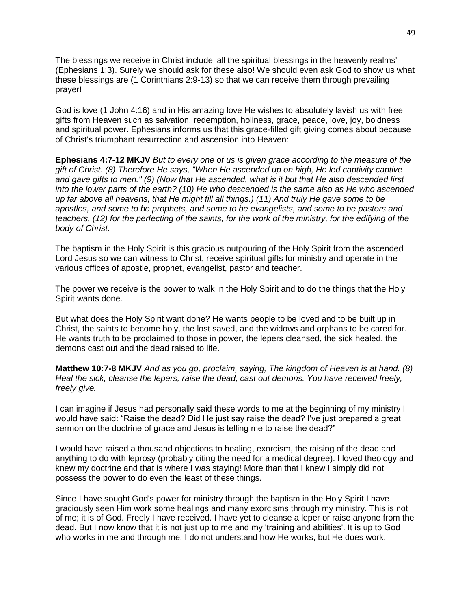The blessings we receive in Christ include 'all the spiritual blessings in the heavenly realms' (Ephesians 1:3). Surely we should ask for these also! We should even ask God to show us what these blessings are (1 Corinthians 2:9-13) so that we can receive them through prevailing prayer!

God is love (1 John 4:16) and in His amazing love He wishes to absolutely lavish us with free gifts from Heaven such as salvation, redemption, holiness, grace, peace, love, joy, boldness and spiritual power. Ephesians informs us that this grace-filled gift giving comes about because of Christ's triumphant resurrection and ascension into Heaven:

**Ephesians 4:7-12 MKJV** *But to every one of us is given grace according to the measure of the gift of Christ. (8) Therefore He says, "When He ascended up on high, He led captivity captive and gave gifts to men." (9) (Now that He ascended, what is it but that He also descended first into the lower parts of the earth? (10) He who descended is the same also as He who ascended up far above all heavens, that He might fill all things.) (11) And truly He gave some to be apostles, and some to be prophets, and some to be evangelists, and some to be pastors and teachers, (12) for the perfecting of the saints, for the work of the ministry, for the edifying of the body of Christ.*

The baptism in the Holy Spirit is this gracious outpouring of the Holy Spirit from the ascended Lord Jesus so we can witness to Christ, receive spiritual gifts for ministry and operate in the various offices of apostle, prophet, evangelist, pastor and teacher.

The power we receive is the power to walk in the Holy Spirit and to do the things that the Holy Spirit wants done.

But what does the Holy Spirit want done? He wants people to be loved and to be built up in Christ, the saints to become holy, the lost saved, and the widows and orphans to be cared for. He wants truth to be proclaimed to those in power, the lepers cleansed, the sick healed, the demons cast out and the dead raised to life.

**Matthew 10:7-8 MKJV** *And as you go, proclaim, saying, The kingdom of Heaven is at hand. (8) Heal the sick, cleanse the lepers, raise the dead, cast out demons. You have received freely, freely give.*

I can imagine if Jesus had personally said these words to me at the beginning of my ministry I would have said: "Raise the dead? Did He just say raise the dead? I've just prepared a great sermon on the doctrine of grace and Jesus is telling me to raise the dead?"

I would have raised a thousand objections to healing, exorcism, the raising of the dead and anything to do with leprosy (probably citing the need for a medical degree). I loved theology and knew my doctrine and that is where I was staying! More than that I knew I simply did not possess the power to do even the least of these things.

Since I have sought God's power for ministry through the baptism in the Holy Spirit I have graciously seen Him work some healings and many exorcisms through my ministry. This is not of me; it is of God. Freely I have received. I have yet to cleanse a leper or raise anyone from the dead. But I now know that it is not just up to me and my 'training and abilities'. It is up to God who works in me and through me. I do not understand how He works, but He does work.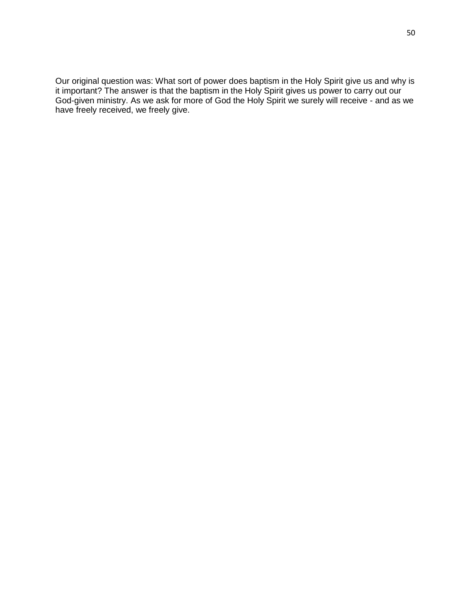Our original question was: What sort of power does baptism in the Holy Spirit give us and why is it important? The answer is that the baptism in the Holy Spirit gives us power to carry out our God-given ministry. As we ask for more of God the Holy Spirit we surely will receive - and as we have freely received, we freely give.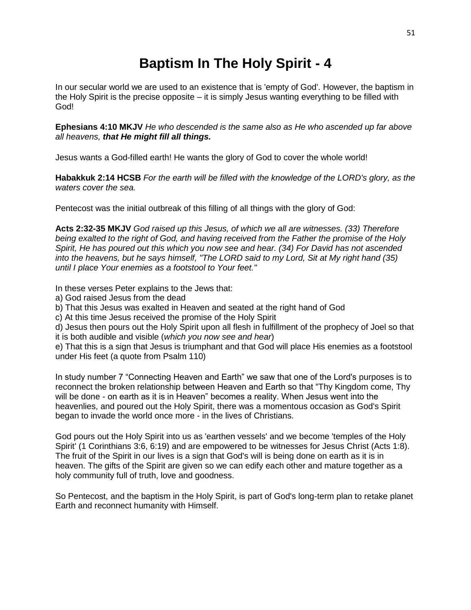# **Baptism In The Holy Spirit - 4**

In our secular world we are used to an existence that is 'empty of God'. However, the baptism in the Holy Spirit is the precise opposite – it is simply Jesus wanting everything to be filled with God!

**Ephesians 4:10 MKJV** *He who descended is the same also as He who ascended up far above all heavens, that He might fill all things.*

Jesus wants a God-filled earth! He wants the glory of God to cover the whole world!

**Habakkuk 2:14 HCSB** *For the earth will be filled with the knowledge of the LORD's glory, as the waters cover the sea.*

Pentecost was the initial outbreak of this filling of all things with the glory of God:

**Acts 2:32-35 MKJV** *God raised up this Jesus, of which we all are witnesses. (33) Therefore being exalted to the right of God, and having received from the Father the promise of the Holy Spirit, He has poured out this which you now see and hear. (34) For David has not ascended into the heavens, but he says himself, "The LORD said to my Lord, Sit at My right hand (35) until I place Your enemies as a footstool to Your feet."*

In these verses Peter explains to the Jews that:

a) God raised Jesus from the dead

b) That this Jesus was exalted in Heaven and seated at the right hand of God

c) At this time Jesus received the promise of the Holy Spirit

d) Jesus then pours out the Holy Spirit upon all flesh in fulfillment of the prophecy of Joel so that it is both audible and visible (*which you now see and hear*)

e) That this is a sign that Jesus is triumphant and that God will place His enemies as a footstool under His feet (a quote from Psalm 110)

In study number 7 "Connecting Heaven and Earth" we saw that one of the Lord's purposes is to reconnect the broken relationship between Heaven and Earth so that "Thy Kingdom come, Thy will be done - on earth as it is in Heaven" becomes a reality. When Jesus went into the heavenlies, and poured out the Holy Spirit, there was a momentous occasion as God's Spirit began to invade the world once more - in the lives of Christians.

God pours out the Holy Spirit into us as 'earthen vessels' and we become 'temples of the Holy Spirit' (1 Corinthians 3:6, 6:19) and are empowered to be witnesses for Jesus Christ (Acts 1:8). The fruit of the Spirit in our lives is a sign that God's will is being done on earth as it is in heaven. The gifts of the Spirit are given so we can edify each other and mature together as a holy community full of truth, love and goodness.

So Pentecost, and the baptism in the Holy Spirit, is part of God's long-term plan to retake planet Earth and reconnect humanity with Himself.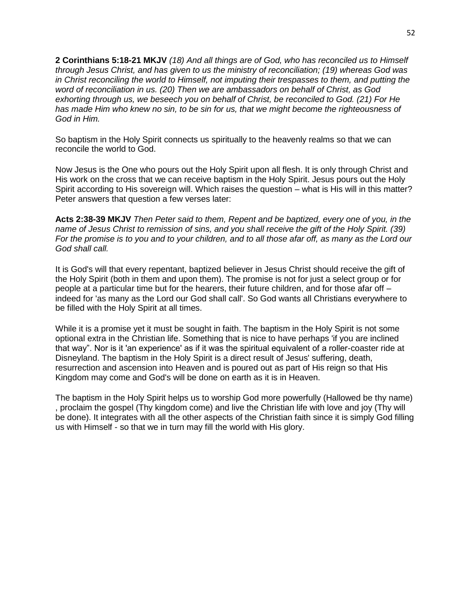**2 Corinthians 5:18-21 MKJV** *(18) And all things are of God, who has reconciled us to Himself through Jesus Christ, and has given to us the ministry of reconciliation; (19) whereas God was in Christ reconciling the world to Himself, not imputing their trespasses to them, and putting the word of reconciliation in us. (20) Then we are ambassadors on behalf of Christ, as God exhorting through us, we beseech you on behalf of Christ, be reconciled to God. (21) For He has made Him who knew no sin, to be sin for us, that we might become the righteousness of God in Him.*

So baptism in the Holy Spirit connects us spiritually to the heavenly realms so that we can reconcile the world to God.

Now Jesus is the One who pours out the Holy Spirit upon all flesh. It is only through Christ and His work on the cross that we can receive baptism in the Holy Spirit. Jesus pours out the Holy Spirit according to His sovereign will. Which raises the question – what is His will in this matter? Peter answers that question a few verses later:

**Acts 2:38-39 MKJV** *Then Peter said to them, Repent and be baptized, every one of you, in the name of Jesus Christ to remission of sins, and you shall receive the gift of the Holy Spirit. (39) For the promise is to you and to your children, and to all those afar off, as many as the Lord our God shall call.*

It is God's will that every repentant, baptized believer in Jesus Christ should receive the gift of the Holy Spirit (both in them and upon them). The promise is not for just a select group or for people at a particular time but for the hearers, their future children, and for those afar off – indeed for 'as many as the Lord our God shall call'. So God wants all Christians everywhere to be filled with the Holy Spirit at all times.

While it is a promise yet it must be sought in faith. The baptism in the Holy Spirit is not some optional extra in the Christian life. Something that is nice to have perhaps 'if you are inclined that way". Nor is it 'an experience' as if it was the spiritual equivalent of a roller-coaster ride at Disneyland. The baptism in the Holy Spirit is a direct result of Jesus' suffering, death, resurrection and ascension into Heaven and is poured out as part of His reign so that His Kingdom may come and God's will be done on earth as it is in Heaven.

The baptism in the Holy Spirit helps us to worship God more powerfully (Hallowed be thy name) , proclaim the gospel (Thy kingdom come) and live the Christian life with love and joy (Thy will be done). It integrates with all the other aspects of the Christian faith since it is simply God filling us with Himself - so that we in turn may fill the world with His glory.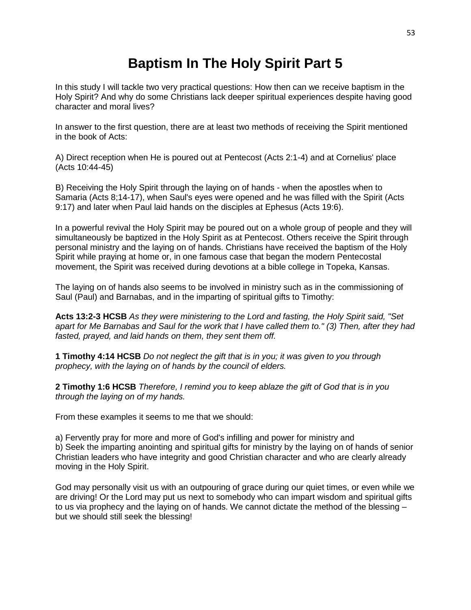# **Baptism In The Holy Spirit Part 5**

In this study I will tackle two very practical questions: How then can we receive baptism in the Holy Spirit? And why do some Christians lack deeper spiritual experiences despite having good character and moral lives?

In answer to the first question, there are at least two methods of receiving the Spirit mentioned in the book of Acts:

A) Direct reception when He is poured out at Pentecost (Acts 2:1-4) and at Cornelius' place (Acts 10:44-45)

B) Receiving the Holy Spirit through the laying on of hands - when the apostles when to Samaria (Acts 8;14-17), when Saul's eyes were opened and he was filled with the Spirit (Acts 9:17) and later when Paul laid hands on the disciples at Ephesus (Acts 19:6).

In a powerful revival the Holy Spirit may be poured out on a whole group of people and they will simultaneously be baptized in the Holy Spirit as at Pentecost. Others receive the Spirit through personal ministry and the laying on of hands. Christians have received the baptism of the Holy Spirit while praying at home or, in one famous case that began the modern Pentecostal movement, the Spirit was received during devotions at a bible college in Topeka, Kansas.

The laying on of hands also seems to be involved in ministry such as in the commissioning of Saul (Paul) and Barnabas, and in the imparting of spiritual gifts to Timothy:

**Acts 13:2-3 HCSB** *As they were ministering to the Lord and fasting, the Holy Spirit said, "Set apart for Me Barnabas and Saul for the work that I have called them to." (3) Then, after they had fasted, prayed, and laid hands on them, they sent them off.*

**1 Timothy 4:14 HCSB** *Do not neglect the gift that is in you; it was given to you through prophecy, with the laying on of hands by the council of elders.*

**2 Timothy 1:6 HCSB** *Therefore, I remind you to keep ablaze the gift of God that is in you through the laying on of my hands.*

From these examples it seems to me that we should:

a) Fervently pray for more and more of God's infilling and power for ministry and b) Seek the imparting anointing and spiritual gifts for ministry by the laying on of hands of senior Christian leaders who have integrity and good Christian character and who are clearly already moving in the Holy Spirit.

God may personally visit us with an outpouring of grace during our quiet times, or even while we are driving! Or the Lord may put us next to somebody who can impart wisdom and spiritual gifts to us via prophecy and the laying on of hands. We cannot dictate the method of the blessing – but we should still seek the blessing!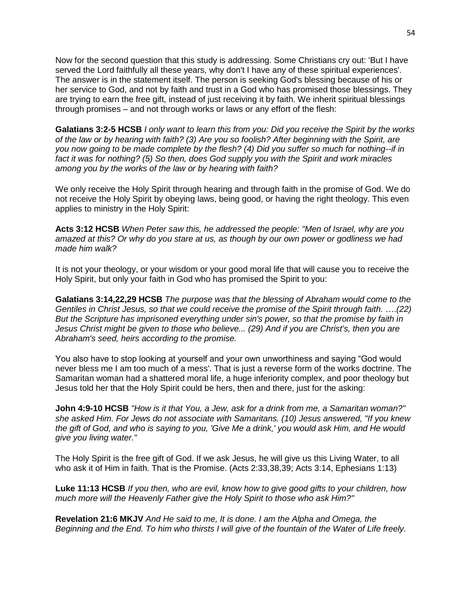Now for the second question that this study is addressing. Some Christians cry out: 'But I have served the Lord faithfully all these years, why don't I have any of these spiritual experiences'. The answer is in the statement itself. The person is seeking God's blessing because of his or her service to God, and not by faith and trust in a God who has promised those blessings. They are trying to earn the free gift, instead of just receiving it by faith. We inherit spiritual blessings through promises – and not through works or laws or any effort of the flesh:

**Galatians 3:2-5 HCSB** *I only want to learn this from you: Did you receive the Spirit by the works of the law or by hearing with faith? (3) Are you so foolish? After beginning with the Spirit, are you now going to be made complete by the flesh? (4) Did you suffer so much for nothing--if in fact it was for nothing? (5) So then, does God supply you with the Spirit and work miracles among you by the works of the law or by hearing with faith?*

We only receive the Holy Spirit through hearing and through faith in the promise of God. We do not receive the Holy Spirit by obeying laws, being good, or having the right theology. This even applies to ministry in the Holy Spirit:

**Acts 3:12 HCSB** *When Peter saw this, he addressed the people: "Men of Israel, why are you amazed at this? Or why do you stare at us, as though by our own power or godliness we had made him walk?*

It is not your theology, or your wisdom or your good moral life that will cause you to receive the Holy Spirit, but only your faith in God who has promised the Spirit to you:

**Galatians 3:14,22,29 HCSB** *The purpose was that the blessing of Abraham would come to the Gentiles in Christ Jesus, so that we could receive the promise of the Spirit through faith.* ….*(22) But the Scripture has imprisoned everything under sin's power, so that the promise by faith in Jesus Christ might be given to those who believe... (29) And if you are Christ's, then you are Abraham's seed, heirs according to the promise.*

You also have to stop looking at yourself and your own unworthiness and saying "God would never bless me I am too much of a mess'. That is just a reverse form of the works doctrine. The Samaritan woman had a shattered moral life, a huge inferiority complex, and poor theology but Jesus told her that the Holy Spirit could be hers, then and there, just for the asking:

**John 4:9-10 HCSB** *"How is it that You, a Jew, ask for a drink from me, a Samaritan woman?" she asked Him. For Jews do not associate with Samaritans. (10) Jesus answered, "If you knew the gift of God, and who is saying to you, 'Give Me a drink,' you would ask Him, and He would give you living water."*

The Holy Spirit is the free gift of God. If we ask Jesus, he will give us this Living Water, to all who ask it of Him in faith. That is the Promise. (Acts 2:33,38,39; Acts 3:14, Ephesians 1:13)

**Luke 11:13 HCSB** *If you then, who are evil, know how to give good gifts to your children, how much more will the Heavenly Father give the Holy Spirit to those who ask Him?"*

**Revelation 21:6 MKJV** *And He said to me, It is done. I am the Alpha and Omega, the Beginning and the End. To him who thirsts I will give of the fountain of the Water of Life freely.*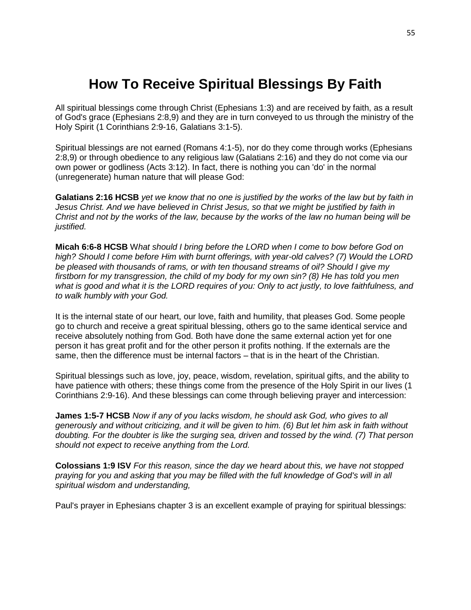# **How To Receive Spiritual Blessings By Faith**

All spiritual blessings come through Christ (Ephesians 1:3) and are received by faith, as a result of God's grace (Ephesians 2:8,9) and they are in turn conveyed to us through the ministry of the Holy Spirit (1 Corinthians 2:9-16, Galatians 3:1-5).

Spiritual blessings are not earned (Romans 4:1-5), nor do they come through works (Ephesians 2:8,9) or through obedience to any religious law (Galatians 2:16) and they do not come via our own power or godliness (Acts 3:12). In fact, there is nothing you can 'do' in the normal (unregenerate) human nature that will please God:

**Galatians 2:16 HCSB** *yet we know that no one is justified by the works of the law but by faith in Jesus Christ. And we have believed in Christ Jesus, so that we might be justified by faith in Christ and not by the works of the law, because by the works of the law no human being will be justified.*

**Micah 6:6-8 HCSB** W*hat should I bring before the LORD when I come to bow before God on high? Should I come before Him with burnt offerings, with year-old calves? (7) Would the LORD be pleased with thousands of rams, or with ten thousand streams of oil? Should I give my firstborn for my transgression, the child of my body for my own sin? (8) He has told you men what is good and what it is the LORD requires of you: Only to act justly, to love faithfulness, and to walk humbly with your God.*

It is the internal state of our heart, our love, faith and humility, that pleases God. Some people go to church and receive a great spiritual blessing, others go to the same identical service and receive absolutely nothing from God. Both have done the same external action yet for one person it has great profit and for the other person it profits nothing. If the externals are the same, then the difference must be internal factors – that is in the heart of the Christian.

Spiritual blessings such as love, joy, peace, wisdom, revelation, spiritual gifts, and the ability to have patience with others; these things come from the presence of the Holy Spirit in our lives (1 Corinthians 2:9-16). And these blessings can come through believing prayer and intercession:

**James 1:5-7 HCSB** *Now if any of you lacks wisdom, he should ask God, who gives to all generously and without criticizing, and it will be given to him. (6) But let him ask in faith without doubting. For the doubter is like the surging sea, driven and tossed by the wind. (7) That person should not expect to receive anything from the Lord.*

**Colossians 1:9 ISV** *For this reason, since the day we heard about this, we have not stopped praying for you and asking that you may be filled with the full knowledge of God's will in all spiritual wisdom and understanding,*

Paul's prayer in Ephesians chapter 3 is an excellent example of praying for spiritual blessings: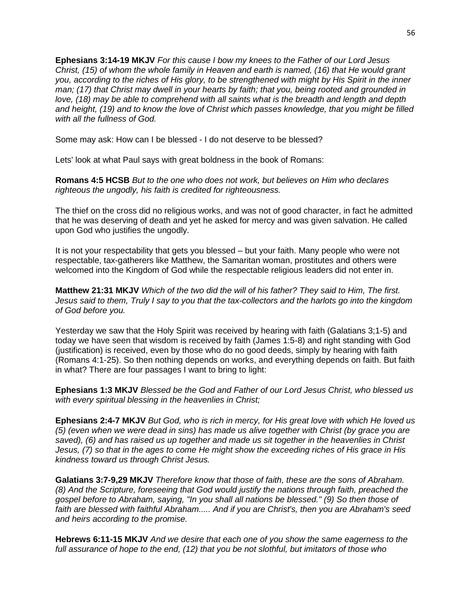**Ephesians 3:14-19 MKJV** *For this cause I bow my knees to the Father of our Lord Jesus Christ, (15) of whom the whole family in Heaven and earth is named, (16) that He would grant you, according to the riches of His glory, to be strengthened with might by His Spirit in the inner man; (17) that Christ may dwell in your hearts by faith; that you, being rooted and grounded in love, (18) may be able to comprehend with all saints what is the breadth and length and depth and height, (19) and to know the love of Christ which passes knowledge, that you might be filled with all the fullness of God.*

Some may ask: How can I be blessed - I do not deserve to be blessed?

Lets' look at what Paul says with great boldness in the book of Romans:

**Romans 4:5 HCSB** *But to the one who does not work, but believes on Him who declares righteous the ungodly, his faith is credited for righteousness.*

The thief on the cross did no religious works, and was not of good character, in fact he admitted that he was deserving of death and yet he asked for mercy and was given salvation. He called upon God who justifies the ungodly.

It is not your respectability that gets you blessed – but your faith. Many people who were not respectable, tax-gatherers like Matthew, the Samaritan woman, prostitutes and others were welcomed into the Kingdom of God while the respectable religious leaders did not enter in.

**Matthew 21:31 MKJV** *Which of the two did the will of his father? They said to Him, The first. Jesus said to them, Truly I say to you that the tax-collectors and the harlots go into the kingdom of God before you.*

Yesterday we saw that the Holy Spirit was received by hearing with faith (Galatians 3;1-5) and today we have seen that wisdom is received by faith (James 1:5-8) and right standing with God (justification) is received, even by those who do no good deeds, simply by hearing with faith (Romans 4:1-25). So then nothing depends on works, and everything depends on faith. But faith in what? There are four passages I want to bring to light:

**Ephesians 1:3 MKJV** *Blessed be the God and Father of our Lord Jesus Christ, who blessed us with every spiritual blessing in the heavenlies in Christ;*

**Ephesians 2:4-7 MKJV** *But God, who is rich in mercy, for His great love with which He loved us (5) (even when we were dead in sins) has made us alive together with Christ (by grace you are saved), (6) and has raised us up together and made us sit together in the heavenlies in Christ Jesus, (7) so that in the ages to come He might show the exceeding riches of His grace in His kindness toward us through Christ Jesus.*

**Galatians 3:7-9,29 MKJV** *Therefore know that those of faith, these are the sons of Abraham. (8) And the Scripture, foreseeing that God would justify the nations through faith, preached the gospel before to Abraham, saying, "In you shall all nations be blessed." (9) So then those of faith are blessed with faithful Abraham..... And if you are Christ's, then you are Abraham's seed and heirs according to the promise.*

**Hebrews 6:11-15 MKJV** *And we desire that each one of you show the same eagerness to the full assurance of hope to the end, (12) that you be not slothful, but imitators of those who*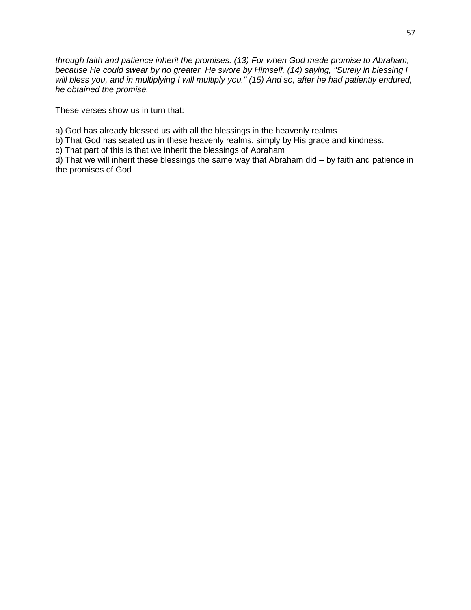*through faith and patience inherit the promises. (13) For when God made promise to Abraham, because He could swear by no greater, He swore by Himself, (14) saying, "Surely in blessing I will bless you, and in multiplying I will multiply you." (15) And so, after he had patiently endured, he obtained the promise.*

These verses show us in turn that:

a) God has already blessed us with all the blessings in the heavenly realms

b) That God has seated us in these heavenly realms, simply by His grace and kindness.

c) That part of this is that we inherit the blessings of Abraham

d) That we will inherit these blessings the same way that Abraham did – by faith and patience in the promises of God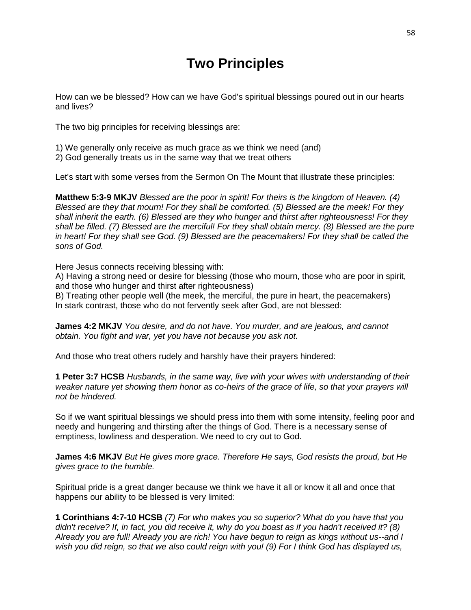# **Two Principles**

How can we be blessed? How can we have God's spiritual blessings poured out in our hearts and lives?

The two big principles for receiving blessings are:

1) We generally only receive as much grace as we think we need (and)

2) God generally treats us in the same way that we treat others

Let's start with some verses from the Sermon On The Mount that illustrate these principles:

**Matthew 5:3-9 MKJV** *Blessed are the poor in spirit! For theirs is the kingdom of Heaven. (4) Blessed are they that mourn! For they shall be comforted. (5) Blessed are the meek! For they shall inherit the earth. (6) Blessed are they who hunger and thirst after righteousness! For they shall be filled. (7) Blessed are the merciful! For they shall obtain mercy. (8) Blessed are the pure in heart! For they shall see God. (9) Blessed are the peacemakers! For they shall be called the sons of God.* 

Here Jesus connects receiving blessing with:

A) Having a strong need or desire for blessing (those who mourn, those who are poor in spirit, and those who hunger and thirst after righteousness)

B) Treating other people well (the meek, the merciful, the pure in heart, the peacemakers) In stark contrast, those who do not fervently seek after God, are not blessed:

**James 4:2 MKJV** *You desire, and do not have. You murder, and are jealous, and cannot obtain. You fight and war, yet you have not because you ask not.*

And those who treat others rudely and harshly have their prayers hindered:

**1 Peter 3:7 HCSB** *Husbands, in the same way, live with your wives with understanding of their weaker nature yet showing them honor as co-heirs of the grace of life, so that your prayers will not be hindered.*

So if we want spiritual blessings we should press into them with some intensity, feeling poor and needy and hungering and thirsting after the things of God. There is a necessary sense of emptiness, lowliness and desperation. We need to cry out to God.

**James 4:6 MKJV** *But He gives more grace. Therefore He says, God resists the proud, but He gives grace to the humble.*

Spiritual pride is a great danger because we think we have it all or know it all and once that happens our ability to be blessed is very limited:

**1 Corinthians 4:7-10 HCSB** *(7) For who makes you so superior? What do you have that you didn't receive? If, in fact, you did receive it, why do you boast as if you hadn't received it? (8) Already you are full! Already you are rich! You have begun to reign as kings without us--and I wish you did reign, so that we also could reign with you! (9) For I think God has displayed us,*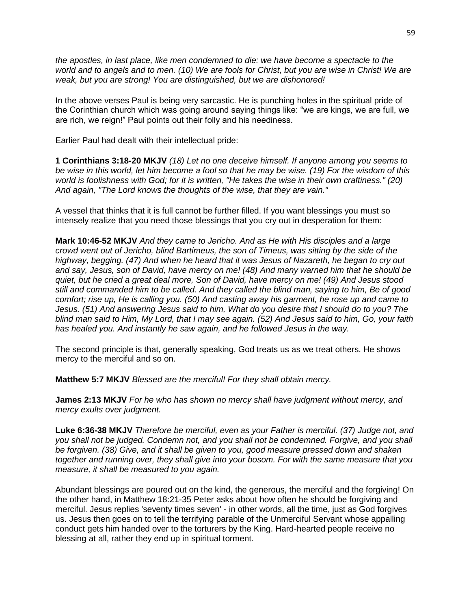*the apostles, in last place, like men condemned to die: we have become a spectacle to the world and to angels and to men. (10) We are fools for Christ, but you are wise in Christ! We are weak, but you are strong! You are distinguished, but we are dishonored!*

In the above verses Paul is being very sarcastic. He is punching holes in the spiritual pride of the Corinthian church which was going around saying things like: "we are kings, we are full, we are rich, we reign!" Paul points out their folly and his neediness.

Earlier Paul had dealt with their intellectual pride:

**1 Corinthians 3:18-20 MKJV** *(18) Let no one deceive himself. If anyone among you seems to be wise in this world, let him become a fool so that he may be wise. (19) For the wisdom of this world is foolishness with God; for it is written, "He takes the wise in their own craftiness." (20) And again, "The Lord knows the thoughts of the wise, that they are vain."*

A vessel that thinks that it is full cannot be further filled. If you want blessings you must so intensely realize that you need those blessings that you cry out in desperation for them:

**Mark 10:46-52 MKJV** *And they came to Jericho. And as He with His disciples and a large crowd went out of Jericho, blind Bartimeus, the son of Timeus, was sitting by the side of the highway, begging. (47) And when he heard that it was Jesus of Nazareth, he began to cry out and say, Jesus, son of David, have mercy on me! (48) And many warned him that he should be quiet, but he cried a great deal more, Son of David, have mercy on me! (49) And Jesus stood still and commanded him to be called. And they called the blind man, saying to him, Be of good comfort; rise up, He is calling you. (50) And casting away his garment, he rose up and came to Jesus. (51) And answering Jesus said to him, What do you desire that I should do to you? The blind man said to Him, My Lord, that I may see again. (52) And Jesus said to him, Go, your faith has healed you. And instantly he saw again, and he followed Jesus in the way.*

The second principle is that, generally speaking, God treats us as we treat others. He shows mercy to the merciful and so on.

**Matthew 5:7 MKJV** *Blessed are the merciful! For they shall obtain mercy.*

**James 2:13 MKJV** *For he who has shown no mercy shall have judgment without mercy, and mercy exults over judgment.*

**Luke 6:36-38 MKJV** *Therefore be merciful, even as your Father is merciful. (37) Judge not, and you shall not be judged. Condemn not, and you shall not be condemned. Forgive, and you shall be forgiven. (38) Give, and it shall be given to you, good measure pressed down and shaken together and running over, they shall give into your bosom. For with the same measure that you measure, it shall be measured to you again.*

Abundant blessings are poured out on the kind, the generous, the merciful and the forgiving! On the other hand, in Matthew 18:21-35 Peter asks about how often he should be forgiving and merciful. Jesus replies 'seventy times seven' - in other words, all the time, just as God forgives us. Jesus then goes on to tell the terrifying parable of the Unmerciful Servant whose appalling conduct gets him handed over to the torturers by the King. Hard-hearted people receive no blessing at all, rather they end up in spiritual torment.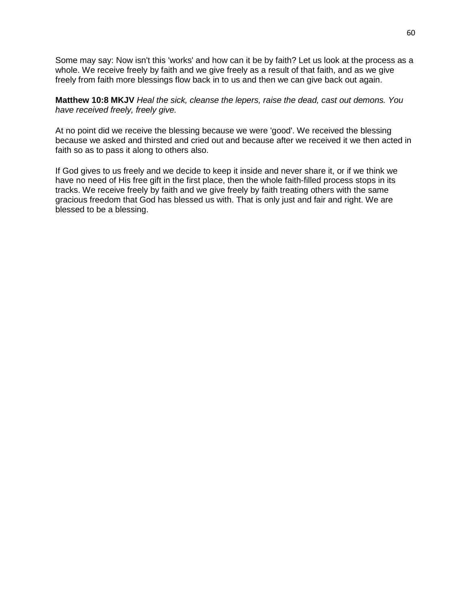Some may say: Now isn't this 'works' and how can it be by faith? Let us look at the process as a whole. We receive freely by faith and we give freely as a result of that faith, and as we give freely from faith more blessings flow back in to us and then we can give back out again.

**Matthew 10:8 MKJV** *Heal the sick, cleanse the lepers, raise the dead, cast out demons. You have received freely, freely give.*

At no point did we receive the blessing because we were 'good'. We received the blessing because we asked and thirsted and cried out and because after we received it we then acted in faith so as to pass it along to others also.

If God gives to us freely and we decide to keep it inside and never share it, or if we think we have no need of His free gift in the first place, then the whole faith-filled process stops in its tracks. We receive freely by faith and we give freely by faith treating others with the same gracious freedom that God has blessed us with. That is only just and fair and right. We are blessed to be a blessing.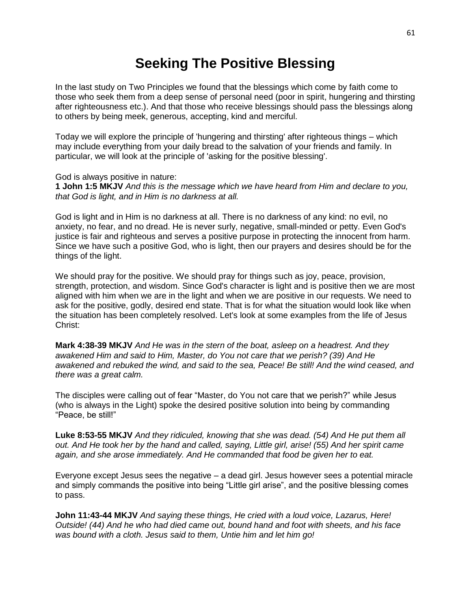## **Seeking The Positive Blessing**

In the last study on Two Principles we found that the blessings which come by faith come to those who seek them from a deep sense of personal need (poor in spirit, hungering and thirsting after righteousness etc.). And that those who receive blessings should pass the blessings along to others by being meek, generous, accepting, kind and merciful.

Today we will explore the principle of 'hungering and thirsting' after righteous things – which may include everything from your daily bread to the salvation of your friends and family. In particular, we will look at the principle of 'asking for the positive blessing'.

God is always positive in nature:

**1 John 1:5 MKJV** *And this is the message which we have heard from Him and declare to you, that God is light, and in Him is no darkness at all.*

God is light and in Him is no darkness at all. There is no darkness of any kind: no evil, no anxiety, no fear, and no dread. He is never surly, negative, small-minded or petty. Even God's justice is fair and righteous and serves a positive purpose in protecting the innocent from harm. Since we have such a positive God, who is light, then our prayers and desires should be for the things of the light.

We should pray for the positive. We should pray for things such as joy, peace, provision, strength, protection, and wisdom. Since God's character is light and is positive then we are most aligned with him when we are in the light and when we are positive in our requests. We need to ask for the positive, godly, desired end state. That is for what the situation would look like when the situation has been completely resolved. Let's look at some examples from the life of Jesus Christ:

**Mark 4:38-39 MKJV** *And He was in the stern of the boat, asleep on a headrest. And they awakened Him and said to Him, Master, do You not care that we perish? (39) And He awakened and rebuked the wind, and said to the sea, Peace! Be still! And the wind ceased, and there was a great calm.*

The disciples were calling out of fear "Master, do You not care that we perish?" while Jesus (who is always in the Light) spoke the desired positive solution into being by commanding "Peace, be still!"

**Luke 8:53-55 MKJV** *And they ridiculed, knowing that she was dead. (54) And He put them all out. And He took her by the hand and called, saying, Little girl, arise! (55) And her spirit came again, and she arose immediately. And He commanded that food be given her to eat.*

Everyone except Jesus sees the negative – a dead girl. Jesus however sees a potential miracle and simply commands the positive into being "Little girl arise", and the positive blessing comes to pass.

**John 11:43-44 MKJV** *And saying these things, He cried with a loud voice, Lazarus, Here! Outside! (44) And he who had died came out, bound hand and foot with sheets, and his face was bound with a cloth. Jesus said to them, Untie him and let him go!*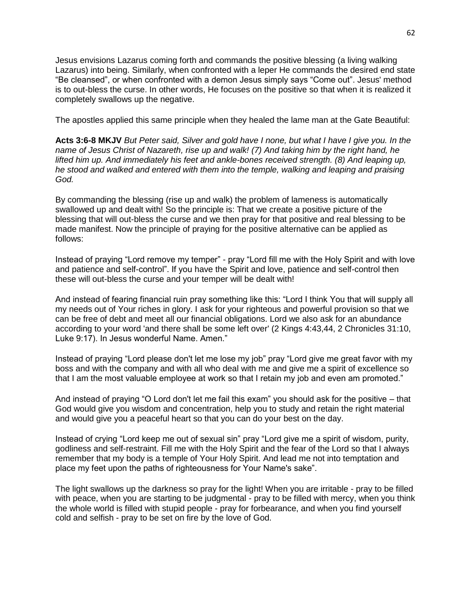Jesus envisions Lazarus coming forth and commands the positive blessing (a living walking Lazarus) into being. Similarly, when confronted with a leper He commands the desired end state "Be cleansed", or when confronted with a demon Jesus simply says "Come out". Jesus' method is to out-bless the curse. In other words, He focuses on the positive so that when it is realized it completely swallows up the negative.

The apostles applied this same principle when they healed the lame man at the Gate Beautiful:

**Acts 3:6-8 MKJV** *But Peter said, Silver and gold have I none, but what I have I give you. In the name of Jesus Christ of Nazareth, rise up and walk! (7) And taking him by the right hand, he lifted him up. And immediately his feet and ankle-bones received strength. (8) And leaping up, he stood and walked and entered with them into the temple, walking and leaping and praising God.*

By commanding the blessing (rise up and walk) the problem of lameness is automatically swallowed up and dealt with! So the principle is: That we create a positive picture of the blessing that will out-bless the curse and we then pray for that positive and real blessing to be made manifest. Now the principle of praying for the positive alternative can be applied as follows:

Instead of praying "Lord remove my temper" - pray "Lord fill me with the Holy Spirit and with love and patience and self-control". If you have the Spirit and love, patience and self-control then these will out-bless the curse and your temper will be dealt with!

And instead of fearing financial ruin pray something like this: "Lord I think You that will supply all my needs out of Your riches in glory. I ask for your righteous and powerful provision so that we can be free of debt and meet all our financial obligations. Lord we also ask for an abundance according to your word 'and there shall be some left over' (2 Kings 4:43,44, 2 Chronicles 31:10, Luke 9:17). In Jesus wonderful Name. Amen."

Instead of praying "Lord please don't let me lose my job" pray "Lord give me great favor with my boss and with the company and with all who deal with me and give me a spirit of excellence so that I am the most valuable employee at work so that I retain my job and even am promoted."

And instead of praying "O Lord don't let me fail this exam" you should ask for the positive – that God would give you wisdom and concentration, help you to study and retain the right material and would give you a peaceful heart so that you can do your best on the day.

Instead of crying "Lord keep me out of sexual sin" pray "Lord give me a spirit of wisdom, purity, godliness and self-restraint. Fill me with the Holy Spirit and the fear of the Lord so that I always remember that my body is a temple of Your Holy Spirit. And lead me not into temptation and place my feet upon the paths of righteousness for Your Name's sake".

The light swallows up the darkness so pray for the light! When you are irritable - pray to be filled with peace, when you are starting to be judgmental - pray to be filled with mercy, when you think the whole world is filled with stupid people - pray for forbearance, and when you find yourself cold and selfish - pray to be set on fire by the love of God.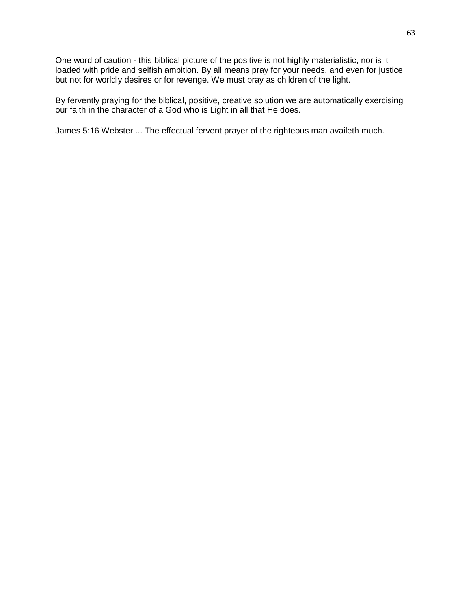One word of caution - this biblical picture of the positive is not highly materialistic, nor is it loaded with pride and selfish ambition. By all means pray for your needs, and even for justice but not for worldly desires or for revenge. We must pray as children of the light.

By fervently praying for the biblical, positive, creative solution we are automatically exercising our faith in the character of a God who is Light in all that He does.

James 5:16 Webster ... The effectual fervent prayer of the righteous man availeth much.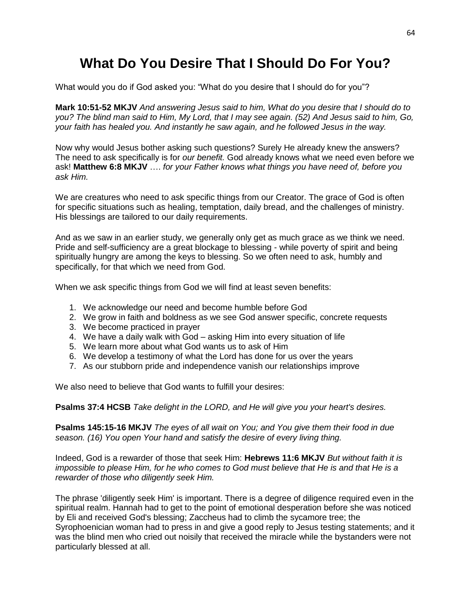# **What Do You Desire That I Should Do For You?**

What would you do if God asked you: "What do you desire that I should do for you"?

**Mark 10:51-52 MKJV** *And answering Jesus said to him, What do you desire that I should do to you? The blind man said to Him, My Lord, that I may see again. (52) And Jesus said to him, Go, your faith has healed you. And instantly he saw again, and he followed Jesus in the way.*

Now why would Jesus bother asking such questions? Surely He already knew the answers? The need to ask specifically is for *our benefit.* God already knows what we need even before we ask! **Matthew 6:8 MKJV** …. *for your Father knows what things you have need of, before you ask Him.*

We are creatures who need to ask specific things from our Creator. The grace of God is often for specific situations such as healing, temptation, daily bread, and the challenges of ministry. His blessings are tailored to our daily requirements.

And as we saw in an earlier study, we generally only get as much grace as we think we need. Pride and self-sufficiency are a great blockage to blessing - while poverty of spirit and being spiritually hungry are among the keys to blessing. So we often need to ask, humbly and specifically, for that which we need from God.

When we ask specific things from God we will find at least seven benefits:

- 1. We acknowledge our need and become humble before God
- 2. We grow in faith and boldness as we see God answer specific, concrete requests
- 3. We become practiced in prayer
- 4. We have a daily walk with God asking Him into every situation of life
- 5. We learn more about what God wants us to ask of Him
- 6. We develop a testimony of what the Lord has done for us over the years
- 7. As our stubborn pride and independence vanish our relationships improve

We also need to believe that God wants to fulfill your desires:

**Psalms 37:4 HCSB** *Take delight in the LORD, and He will give you your heart's desires.*

**Psalms 145:15-16 MKJV** *The eyes of all wait on You; and You give them their food in due season. (16) You open Your hand and satisfy the desire of every living thing.*

Indeed, God is a rewarder of those that seek Him: **Hebrews 11:6 MKJV** *But without faith it is impossible to please Him, for he who comes to God must believe that He is and that He is a rewarder of those who diligently seek Him.*

The phrase 'diligently seek Him' is important. There is a degree of diligence required even in the spiritual realm. Hannah had to get to the point of emotional desperation before she was noticed by Eli and received God's blessing; Zaccheus had to climb the sycamore tree; the Syrophoenician woman had to press in and give a good reply to Jesus testing statements; and it was the blind men who cried out noisily that received the miracle while the bystanders were not particularly blessed at all.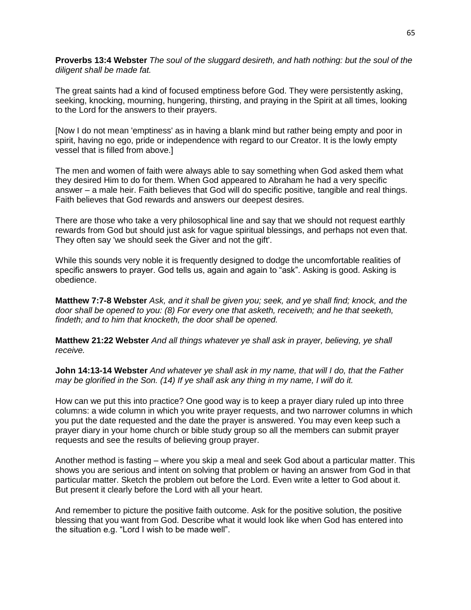**Proverbs 13:4 Webster** *The soul of the sluggard desireth, and hath nothing: but the soul of the diligent shall be made fat.*

The great saints had a kind of focused emptiness before God. They were persistently asking, seeking, knocking, mourning, hungering, thirsting, and praying in the Spirit at all times, looking to the Lord for the answers to their prayers.

[Now I do not mean 'emptiness' as in having a blank mind but rather being empty and poor in spirit, having no ego, pride or independence with regard to our Creator. It is the lowly empty vessel that is filled from above.]

The men and women of faith were always able to say something when God asked them what they desired Him to do for them. When God appeared to Abraham he had a very specific answer – a male heir. Faith believes that God will do specific positive, tangible and real things. Faith believes that God rewards and answers our deepest desires.

There are those who take a very philosophical line and say that we should not request earthly rewards from God but should just ask for vague spiritual blessings, and perhaps not even that. They often say 'we should seek the Giver and not the gift'.

While this sounds very noble it is frequently designed to dodge the uncomfortable realities of specific answers to prayer. God tells us, again and again to "ask". Asking is good. Asking is obedience.

**Matthew 7:7-8 Webster** *Ask, and it shall be given you; seek, and ye shall find; knock, and the door shall be opened to you: (8) For every one that asketh, receiveth; and he that seeketh, findeth; and to him that knocketh, the door shall be opened.*

**Matthew 21:22 Webster** *And all things whatever ye shall ask in prayer, believing, ye shall receive.*

**John 14:13-14 Webster** *And whatever ye shall ask in my name, that will I do, that the Father may be glorified in the Son. (14) If ye shall ask any thing in my name, I will do it.*

How can we put this into practice? One good way is to keep a prayer diary ruled up into three columns: a wide column in which you write prayer requests, and two narrower columns in which you put the date requested and the date the prayer is answered. You may even keep such a prayer diary in your home church or bible study group so all the members can submit prayer requests and see the results of believing group prayer.

Another method is fasting – where you skip a meal and seek God about a particular matter. This shows you are serious and intent on solving that problem or having an answer from God in that particular matter. Sketch the problem out before the Lord. Even write a letter to God about it. But present it clearly before the Lord with all your heart.

And remember to picture the positive faith outcome. Ask for the positive solution, the positive blessing that you want from God. Describe what it would look like when God has entered into the situation e.g. "Lord I wish to be made well".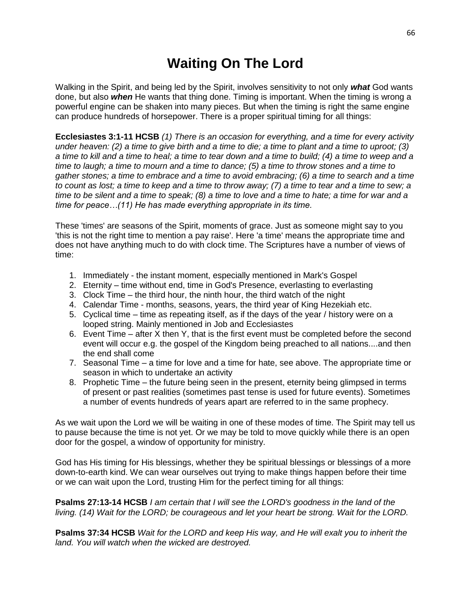# **Waiting On The Lord**

Walking in the Spirit, and being led by the Spirit, involves sensitivity to not only *what* God wants done, but also *when* He wants that thing done. Timing is important. When the timing is wrong a powerful engine can be shaken into many pieces. But when the timing is right the same engine can produce hundreds of horsepower. There is a proper spiritual timing for all things:

**Ecclesiastes 3:1-11 HCSB** *(1) There is an occasion for everything, and a time for every activity under heaven: (2) a time to give birth and a time to die; a time to plant and a time to uproot; (3) a time to kill and a time to heal; a time to tear down and a time to build; (4) a time to weep and a time to laugh; a time to mourn and a time to dance; (5) a time to throw stones and a time to gather stones; a time to embrace and a time to avoid embracing; (6) a time to search and a time to count as lost; a time to keep and a time to throw away; (7) a time to tear and a time to sew; a time to be silent and a time to speak; (8) a time to love and a time to hate; a time for war and a time for peace…(11) He has made everything appropriate in its time.* 

These 'times' are seasons of the Spirit, moments of grace. Just as someone might say to you 'this is not the right time to mention a pay raise'. Here 'a time' means the appropriate time and does not have anything much to do with clock time. The Scriptures have a number of views of time:

- 1. Immediately the instant moment, especially mentioned in Mark's Gospel
- 2. Eternity time without end, time in God's Presence, everlasting to everlasting
- 3. Clock Time the third hour, the ninth hour, the third watch of the night
- 4. Calendar Time months, seasons, years, the third year of King Hezekiah etc.
- 5. Cyclical time time as repeating itself, as if the days of the year / history were on a looped string. Mainly mentioned in Job and Ecclesiastes
- 6. Event Time after X then Y, that is the first event must be completed before the second event will occur e.g. the gospel of the Kingdom being preached to all nations....and then the end shall come
- 7. Seasonal Time a time for love and a time for hate, see above. The appropriate time or season in which to undertake an activity
- 8. Prophetic Time the future being seen in the present, eternity being glimpsed in terms of present or past realities (sometimes past tense is used for future events). Sometimes a number of events hundreds of years apart are referred to in the same prophecy.

As we wait upon the Lord we will be waiting in one of these modes of time. The Spirit may tell us to pause because the time is not yet. Or we may be told to move quickly while there is an open door for the gospel, a window of opportunity for ministry.

God has His timing for His blessings, whether they be spiritual blessings or blessings of a more down-to-earth kind. We can wear ourselves out trying to make things happen before their time or we can wait upon the Lord, trusting Him for the perfect timing for all things:

**Psalms 27:13-14 HCSB** *I am certain that I will see the LORD's goodness in the land of the living. (14) Wait for the LORD; be courageous and let your heart be strong. Wait for the LORD.*

**Psalms 37:34 HCSB** *Wait for the LORD and keep His way, and He will exalt you to inherit the land. You will watch when the wicked are destroyed.*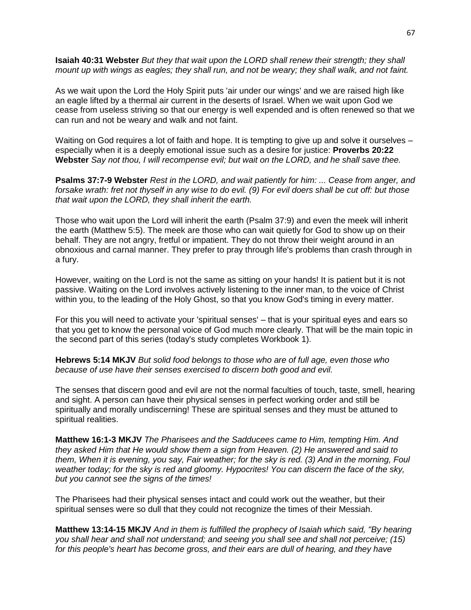**Isaiah 40:31 Webster** *But they that wait upon the LORD shall renew their strength; they shall mount up with wings as eagles; they shall run, and not be weary; they shall walk, and not faint.*

As we wait upon the Lord the Holy Spirit puts 'air under our wings' and we are raised high like an eagle lifted by a thermal air current in the deserts of Israel. When we wait upon God we cease from useless striving so that our energy is well expended and is often renewed so that we can run and not be weary and walk and not faint.

Waiting on God requires a lot of faith and hope. It is tempting to give up and solve it ourselves – especially when it is a deeply emotional issue such as a desire for justice: **Proverbs 20:22 Webster** *Say not thou, I will recompense evil; but wait on the LORD, and he shall save thee.*

**Psalms 37:7-9 Webster** *Rest in the LORD, and wait patiently for him: ... Cease from anger, and forsake wrath: fret not thyself in any wise to do evil. (9) For evil doers shall be cut off: but those that wait upon the LORD, they shall inherit the earth.*

Those who wait upon the Lord will inherit the earth (Psalm 37:9) and even the meek will inherit the earth (Matthew 5:5). The meek are those who can wait quietly for God to show up on their behalf. They are not angry, fretful or impatient. They do not throw their weight around in an obnoxious and carnal manner. They prefer to pray through life's problems than crash through in a fury.

However, waiting on the Lord is not the same as sitting on your hands! It is patient but it is not passive. Waiting on the Lord involves actively listening to the inner man, to the voice of Christ within you, to the leading of the Holy Ghost, so that you know God's timing in every matter.

For this you will need to activate your 'spiritual senses' – that is your spiritual eyes and ears so that you get to know the personal voice of God much more clearly. That will be the main topic in the second part of this series (today's study completes Workbook 1).

**Hebrews 5:14 MKJV** *But solid food belongs to those who are of full age, even those who because of use have their senses exercised to discern both good and evil.*

The senses that discern good and evil are not the normal faculties of touch, taste, smell, hearing and sight. A person can have their physical senses in perfect working order and still be spiritually and morally undiscerning! These are spiritual senses and they must be attuned to spiritual realities.

**Matthew 16:1-3 MKJV** *The Pharisees and the Sadducees came to Him, tempting Him. And they asked Him that He would show them a sign from Heaven. (2) He answered and said to them, When it is evening, you say, Fair weather; for the sky is red. (3) And in the morning, Foul weather today; for the sky is red and gloomy. Hypocrites! You can discern the face of the sky, but you cannot see the signs of the times!* 

The Pharisees had their physical senses intact and could work out the weather, but their spiritual senses were so dull that they could not recognize the times of their Messiah.

**Matthew 13:14-15 MKJV** *And in them is fulfilled the prophecy of Isaiah which said, "By hearing you shall hear and shall not understand; and seeing you shall see and shall not perceive; (15) for this people's heart has become gross, and their ears are dull of hearing, and they have*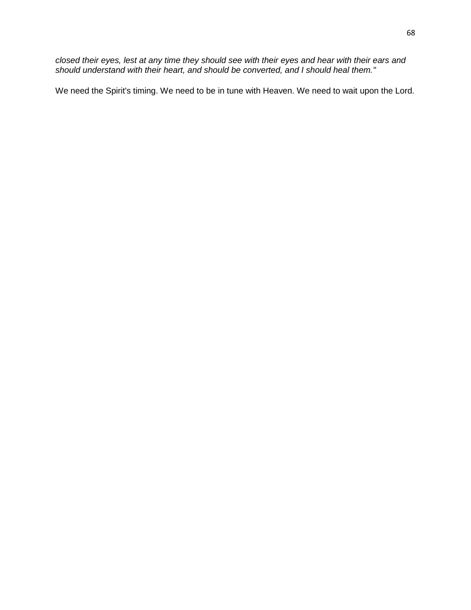*closed their eyes, lest at any time they should see with their eyes and hear with their ears and should understand with their heart, and should be converted, and I should heal them."*

We need the Spirit's timing. We need to be in tune with Heaven. We need to wait upon the Lord.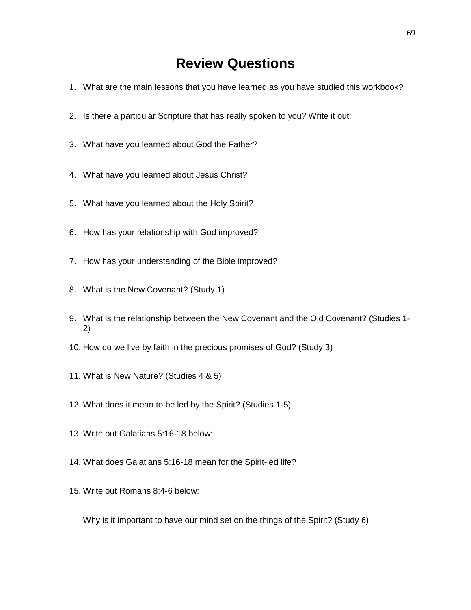#### **Review Questions**

- 1. What are the main lessons that you have learned as you have studied this workbook?
- 2. Is there a particular Scripture that has really spoken to you? Write it out:
- 3. What have you learned about God the Father?
- 4. What have you learned about Jesus Christ?
- 5. What have you learned about the Holy Spirit?
- 6. How has your relationship with God improved?
- 7. How has your understanding of the Bible improved?
- 8. What is the New Covenant? (Study 1)
- 9. What is the relationship between the New Covenant and the Old Covenant? (Studies 1- 2)
- 10. How do we live by faith in the precious promises of God? (Study 3)
- 11. What is New Nature? (Studies 4 & 5)
- 12. What does it mean to be led by the Spirit? (Studies 1-5)
- 13. Write out Galatians 5:16-18 below:
- 14. What does Galatians 5:16-18 mean for the Spirit-led life?
- 15. Write out Romans 8:4-6 below:

Why is it important to have our mind set on the things of the Spirit? (Study 6)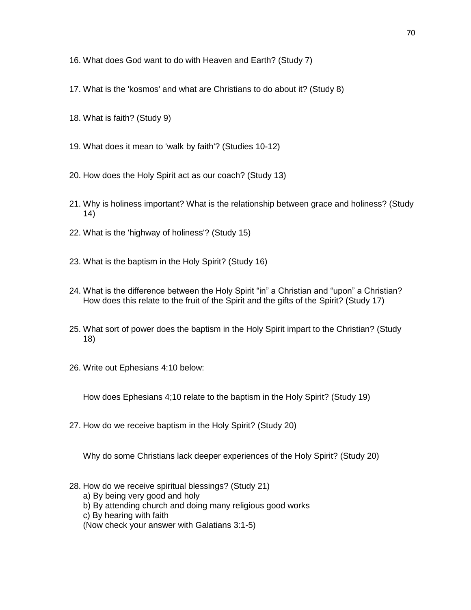- 16. What does God want to do with Heaven and Earth? (Study 7)
- 17. What is the 'kosmos' and what are Christians to do about it? (Study 8)
- 18. What is faith? (Study 9)
- 19. What does it mean to 'walk by faith'? (Studies 10-12)
- 20. How does the Holy Spirit act as our coach? (Study 13)
- 21. Why is holiness important? What is the relationship between grace and holiness? (Study 14)
- 22. What is the 'highway of holiness'? (Study 15)
- 23. What is the baptism in the Holy Spirit? (Study 16)
- 24. What is the difference between the Holy Spirit "in" a Christian and "upon" a Christian? How does this relate to the fruit of the Spirit and the gifts of the Spirit? (Study 17)
- 25. What sort of power does the baptism in the Holy Spirit impart to the Christian? (Study 18)
- 26. Write out Ephesians 4:10 below:

How does Ephesians 4;10 relate to the baptism in the Holy Spirit? (Study 19)

27. How do we receive baptism in the Holy Spirit? (Study 20)

Why do some Christians lack deeper experiences of the Holy Spirit? (Study 20)

- 28. How do we receive spiritual blessings? (Study 21)
	- a) By being very good and holy
	- b) By attending church and doing many religious good works
	- c) By hearing with faith
	- (Now check your answer with Galatians 3:1-5)